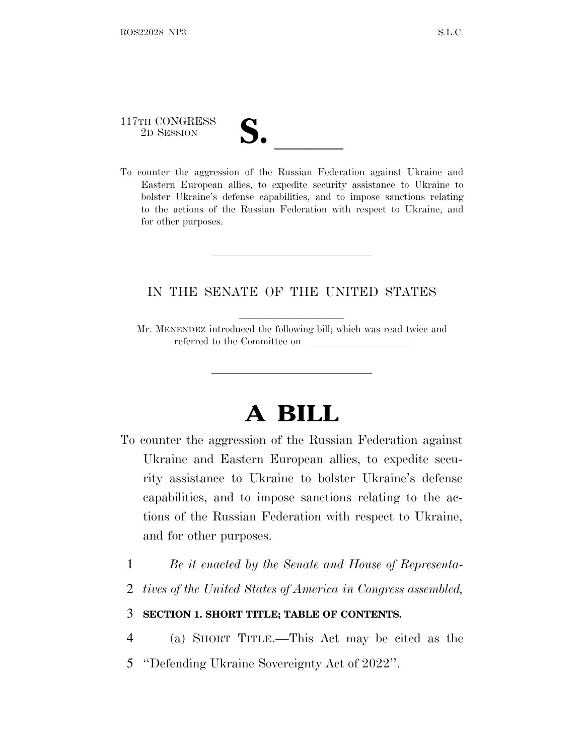# 117TH CONGRESS

117TH CONGRESS<br>
2D SESSION<br>
To counter the aggression of the Russian Federation against Ukraine and Eastern European allies, to expedite security assistance to Ukraine to bolster Ukraine's defense capabilities, and to impose sanctions relating to the actions of the Russian Federation with respect to Ukraine, and for other purposes.

## IN THE SENATE OF THE UNITED STATES

Mr. MENENDEZ introduced the following bill; which was read twice and referred to the Committee on

# **A BILL**

- To counter the aggression of the Russian Federation against Ukraine and Eastern European allies, to expedite security assistance to Ukraine to bolster Ukraine's defense capabilities, and to impose sanctions relating to the actions of the Russian Federation with respect to Ukraine, and for other purposes.
	- 1 *Be it enacted by the Senate and House of Representa-*
	- 2 *tives of the United States of America in Congress assembled,*

### 3 **SECTION 1. SHORT TITLE; TABLE OF CONTENTS.**

- 4 (a) SHORT TITLE.—This Act may be cited as the
- 5 ''Defending Ukraine Sovereignty Act of 2022''.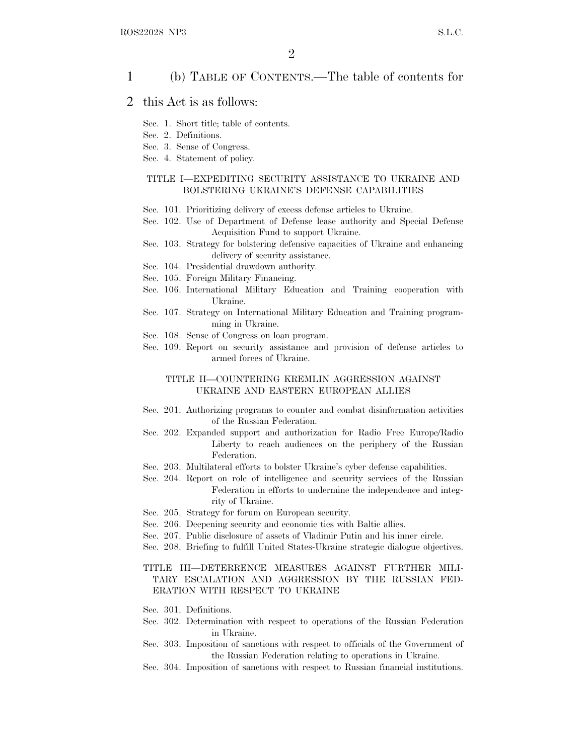### 1 (b) TABLE OF CONTENTS.—The table of contents for

### 2 this Act is as follows:

- Sec. 1. Short title; table of contents.
- Sec. 2. Definitions.
- Sec. 3. Sense of Congress.
- Sec. 4. Statement of policy.

#### TITLE I—EXPEDITING SECURITY ASSISTANCE TO UKRAINE AND BOLSTERING UKRAINE'S DEFENSE CAPABILITIES

- Sec. 101. Prioritizing delivery of excess defense articles to Ukraine.
- Sec. 102. Use of Department of Defense lease authority and Special Defense Acquisition Fund to support Ukraine.
- Sec. 103. Strategy for bolstering defensive capacities of Ukraine and enhancing delivery of security assistance.
- Sec. 104. Presidential drawdown authority.
- Sec. 105. Foreign Military Financing.
- Sec. 106. International Military Education and Training cooperation with Ukraine.
- Sec. 107. Strategy on International Military Education and Training programming in Ukraine.
- Sec. 108. Sense of Congress on loan program.
- Sec. 109. Report on security assistance and provision of defense articles to armed forces of Ukraine.

#### TITLE II—COUNTERING KREMLIN AGGRESSION AGAINST UKRAINE AND EASTERN EUROPEAN ALLIES

- Sec. 201. Authorizing programs to counter and combat disinformation activities of the Russian Federation.
- Sec. 202. Expanded support and authorization for Radio Free Europe/Radio Liberty to reach audiences on the periphery of the Russian Federation.
- Sec. 203. Multilateral efforts to bolster Ukraine's cyber defense capabilities.
- Sec. 204. Report on role of intelligence and security services of the Russian Federation in efforts to undermine the independence and integrity of Ukraine.
- Sec. 205. Strategy for forum on European security.
- Sec. 206. Deepening security and economic ties with Baltic allies.
- Sec. 207. Public disclosure of assets of Vladimir Putin and his inner circle.
- Sec. 208. Briefing to fulfill United States-Ukraine strategic dialogue objectives.

### TITLE III—DETERRENCE MEASURES AGAINST FURTHER MILI-TARY ESCALATION AND AGGRESSION BY THE RUSSIAN FED-ERATION WITH RESPECT TO UKRAINE

- Sec. 301. Definitions.
- Sec. 302. Determination with respect to operations of the Russian Federation in Ukraine.
- Sec. 303. Imposition of sanctions with respect to officials of the Government of the Russian Federation relating to operations in Ukraine.
- Sec. 304. Imposition of sanctions with respect to Russian financial institutions.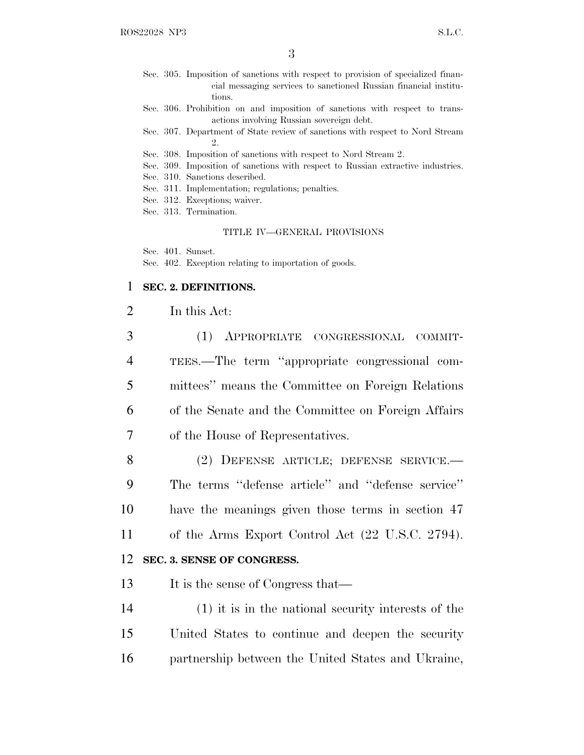- Sec. 305. Imposition of sanctions with respect to provision of specialized financial messaging services to sanctioned Russian financial institutions.
- Sec. 306. Prohibition on and imposition of sanctions with respect to transactions involving Russian sovereign debt.
- Sec. 307. Department of State review of sanctions with respect to Nord Stream 2.
- Sec. 308. Imposition of sanctions with respect to Nord Stream 2.
- Sec. 309. Imposition of sanctions with respect to Russian extractive industries.
- Sec. 310. Sanctions described.
- Sec. 311. Implementation; regulations; penalties.
- Sec. 312. Exceptions; waiver.
- Sec. 313. Termination.

#### TITLE IV—GENERAL PROVISIONS

Sec. 401. Sunset.

Sec. 402. Exception relating to importation of goods.

#### 1 **SEC. 2. DEFINITIONS.**

### 2 In this Act:

|                | (1) APPROPRIATE CONGRESSIONAL COMMIT-              |
|----------------|----------------------------------------------------|
| $\overline{4}$ | TEES.—The term "appropriate congressional com-     |
| 5              | mittees" means the Committee on Foreign Relations  |
| 6              | of the Senate and the Committee on Foreign Affairs |
|                | of the House of Representatives.                   |

 (2) DEFENSE ARTICLE; DEFENSE SERVICE.— The terms ''defense article'' and ''defense service'' have the meanings given those terms in section 47 of the Arms Export Control Act (22 U.S.C. 2794).

### 12 **SEC. 3. SENSE OF CONGRESS.**

13 It is the sense of Congress that—

14 (1) it is in the national security interests of the 15 United States to continue and deepen the security 16 partnership between the United States and Ukraine,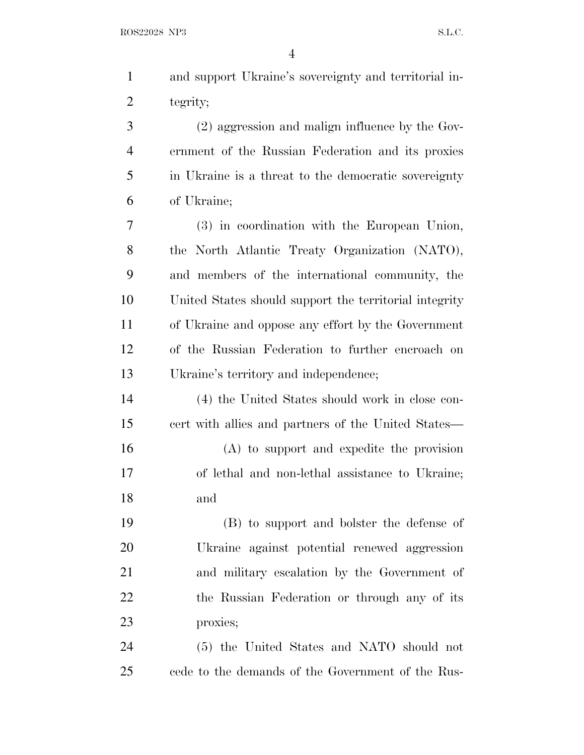| $\mathbf{1}$   | and support Ukraine's sovereignty and territorial in-  |
|----------------|--------------------------------------------------------|
| $\overline{2}$ | tegrity;                                               |
| 3              | (2) aggression and malign influence by the Gov-        |
| $\overline{4}$ | ernment of the Russian Federation and its proxies      |
| 5              | in Ukraine is a threat to the democratic sovereignty   |
| 6              | of Ukraine;                                            |
| 7              | (3) in coordination with the European Union,           |
| 8              | the North Atlantic Treaty Organization (NATO),         |
| 9              | and members of the international community, the        |
| 10             | United States should support the territorial integrity |
| 11             | of Ukraine and oppose any effort by the Government     |
| 12             | of the Russian Federation to further encroach on       |
| 13             | Ukraine's territory and independence;                  |
| 14             | (4) the United States should work in close con-        |
| 15             | cert with allies and partners of the United States—    |
| 16             | (A) to support and expedite the provision              |
| 17             | of lethal and non-lethal assistance to Ukraine;        |
| 18             | and                                                    |
| 19             | (B) to support and bolster the defense of              |
| 20             | Ukraine against potential renewed aggression           |
| 21             | and military escalation by the Government of           |
| 22             | the Russian Federation or through any of its           |
| 23             | proxies;                                               |
| 24             | (5) the United States and NATO should not              |
| 25             | cede to the demands of the Government of the Rus-      |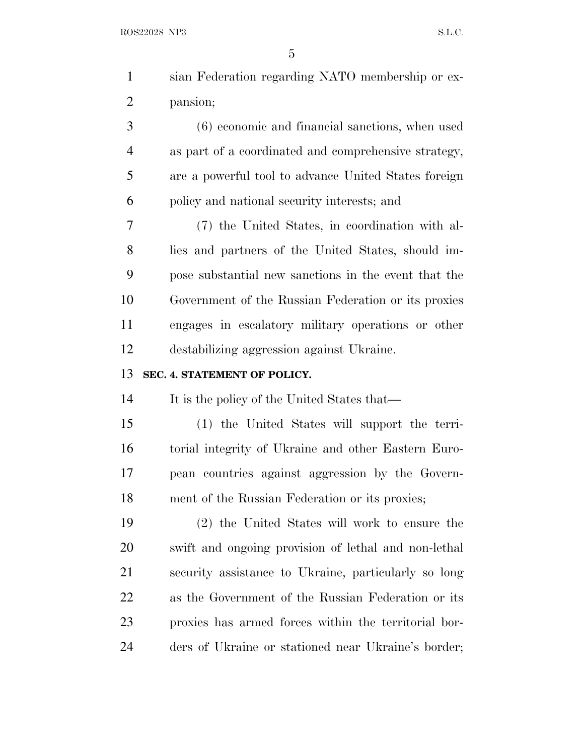| $\mathbf{1}$   | sian Federation regarding NATO membership or ex-     |
|----------------|------------------------------------------------------|
| $\overline{2}$ | pansion;                                             |
| 3              | $(6)$ economic and financial sanctions, when used    |
| $\overline{4}$ | as part of a coordinated and comprehensive strategy, |
| 5              | are a powerful tool to advance United States foreign |
| 6              | policy and national security interests; and          |
| 7              | (7) the United States, in coordination with al-      |
| 8              | lies and partners of the United States, should im-   |
| 9              | pose substantial new sanctions in the event that the |
| 10             | Government of the Russian Federation or its proxies  |
| 11             | engages in escalatory military operations or other   |
| 12             | destabilizing aggression against Ukraine.            |
|                |                                                      |
| 13             | SEC. 4. STATEMENT OF POLICY.                         |
| 14             | It is the policy of the United States that—          |
| 15             | (1) the United States will support the terri-        |
| 16             | torial integrity of Ukraine and other Eastern Euro-  |
| 17             | pean countries against aggression by the Govern-     |
| 18             | ment of the Russian Federation or its proxies;       |
| 19             | (2) the United States will work to ensure the        |
| 20             | swift and ongoing provision of lethal and non-lethal |
| 21             | security assistance to Ukraine, particularly so long |
| 22             | as the Government of the Russian Federation or its   |
| 23             | proxies has armed forces within the territorial bor- |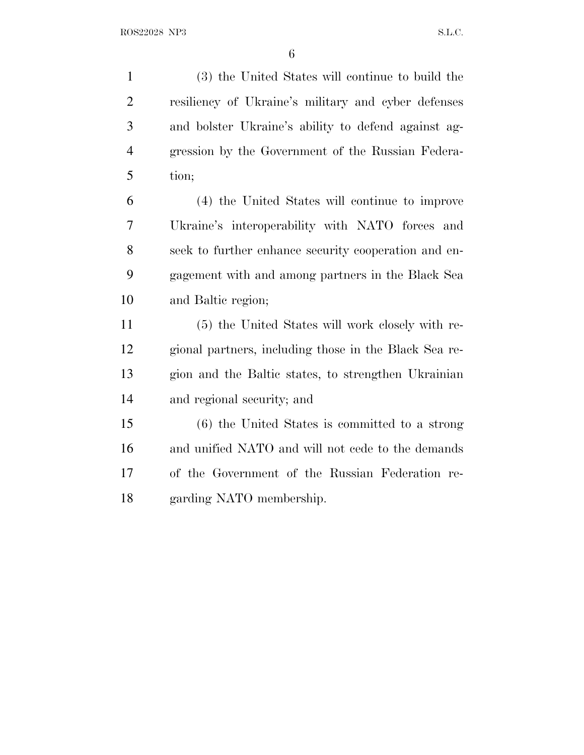(3) the United States will continue to build the resiliency of Ukraine's military and cyber defenses and bolster Ukraine's ability to defend against ag- gression by the Government of the Russian Federa-tion;

 (4) the United States will continue to improve Ukraine's interoperability with NATO forces and seek to further enhance security cooperation and en- gagement with and among partners in the Black Sea and Baltic region;

 (5) the United States will work closely with re- gional partners, including those in the Black Sea re- gion and the Baltic states, to strengthen Ukrainian and regional security; and

 (6) the United States is committed to a strong and unified NATO and will not cede to the demands of the Government of the Russian Federation re-garding NATO membership.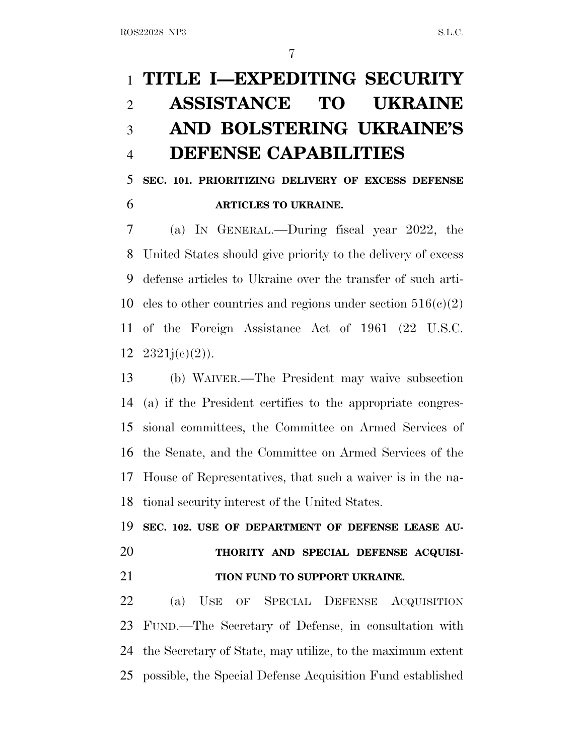# **TITLE I—EXPEDITING SECURITY ASSISTANCE TO UKRAINE AND BOLSTERING UKRAINE'S DEFENSE CAPABILITIES**

 **SEC. 101. PRIORITIZING DELIVERY OF EXCESS DEFENSE ARTICLES TO UKRAINE.**

 (a) I<sup>N</sup> GENERAL.—During fiscal year 2022, the United States should give priority to the delivery of excess defense articles to Ukraine over the transfer of such arti-10 cles to other countries and regions under section  $516(c)(2)$  of the Foreign Assistance Act of 1961 (22 U.S.C.  $12 \quad 2321j(e)(2)$ ).

 (b) WAIVER.—The President may waive subsection (a) if the President certifies to the appropriate congres- sional committees, the Committee on Armed Services of the Senate, and the Committee on Armed Services of the House of Representatives, that such a waiver is in the na-tional security interest of the United States.

 **SEC. 102. USE OF DEPARTMENT OF DEFENSE LEASE AU- THORITY AND SPECIAL DEFENSE ACQUISI-TION FUND TO SUPPORT UKRAINE.**

 (a) USE OF SPECIAL DEFENSE ACQUISITION FUND.—The Secretary of Defense, in consultation with the Secretary of State, may utilize, to the maximum extent possible, the Special Defense Acquisition Fund established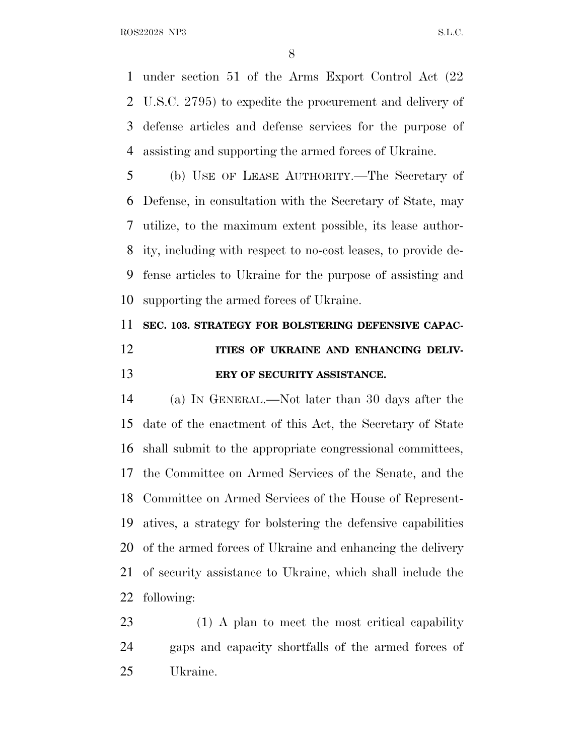under section 51 of the Arms Export Control Act (22 U.S.C. 2795) to expedite the procurement and delivery of defense articles and defense services for the purpose of assisting and supporting the armed forces of Ukraine.

 (b) USE OF LEASE AUTHORITY.—The Secretary of Defense, in consultation with the Secretary of State, may utilize, to the maximum extent possible, its lease author- ity, including with respect to no-cost leases, to provide de- fense articles to Ukraine for the purpose of assisting and supporting the armed forces of Ukraine.

## **SEC. 103. STRATEGY FOR BOLSTERING DEFENSIVE CAPAC-ITIES OF UKRAINE AND ENHANCING DELIV-ERY OF SECURITY ASSISTANCE.**

 (a) I<sup>N</sup> GENERAL.—Not later than 30 days after the date of the enactment of this Act, the Secretary of State shall submit to the appropriate congressional committees, the Committee on Armed Services of the Senate, and the Committee on Armed Services of the House of Represent- atives, a strategy for bolstering the defensive capabilities of the armed forces of Ukraine and enhancing the delivery of security assistance to Ukraine, which shall include the following:

 (1) A plan to meet the most critical capability gaps and capacity shortfalls of the armed forces of Ukraine.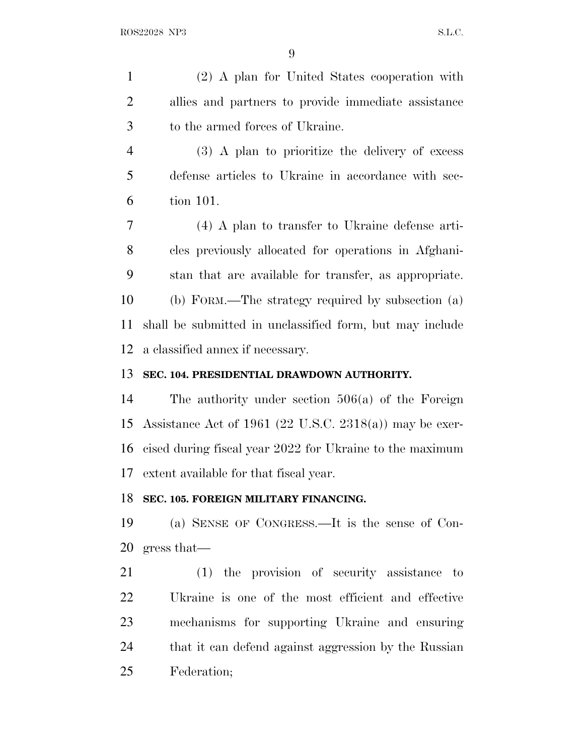(2) A plan for United States cooperation with allies and partners to provide immediate assistance to the armed forces of Ukraine.

 (3) A plan to prioritize the delivery of excess defense articles to Ukraine in accordance with sec-tion 101.

 (4) A plan to transfer to Ukraine defense arti- cles previously allocated for operations in Afghani- stan that are available for transfer, as appropriate. (b) FORM.—The strategy required by subsection (a) shall be submitted in unclassified form, but may include a classified annex if necessary.

### **SEC. 104. PRESIDENTIAL DRAWDOWN AUTHORITY.**

 The authority under section 506(a) of the Foreign Assistance Act of 1961 (22 U.S.C. 2318(a)) may be exer- cised during fiscal year 2022 for Ukraine to the maximum extent available for that fiscal year.

### **SEC. 105. FOREIGN MILITARY FINANCING.**

 (a) SENSE OF CONGRESS.—It is the sense of Con-gress that—

 (1) the provision of security assistance to Ukraine is one of the most efficient and effective mechanisms for supporting Ukraine and ensuring that it can defend against aggression by the Russian Federation;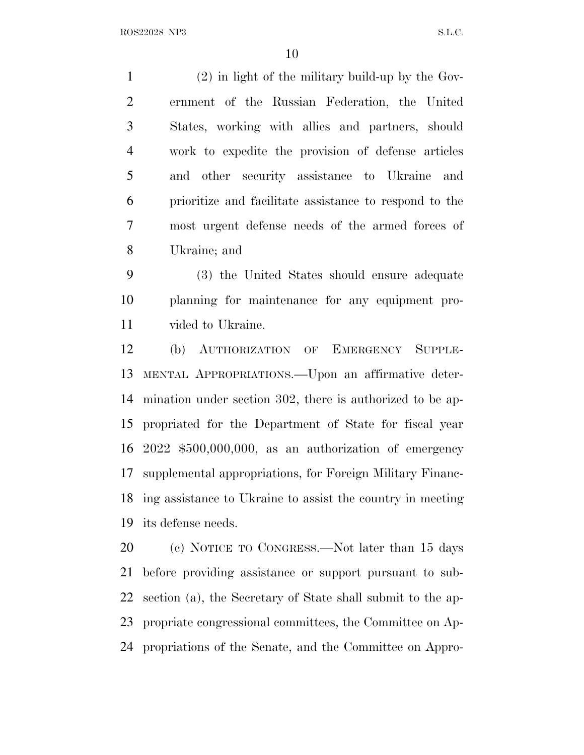(2) in light of the military build-up by the Gov- ernment of the Russian Federation, the United States, working with allies and partners, should work to expedite the provision of defense articles and other security assistance to Ukraine and prioritize and facilitate assistance to respond to the most urgent defense needs of the armed forces of Ukraine; and

 (3) the United States should ensure adequate planning for maintenance for any equipment pro-vided to Ukraine.

 (b) AUTHORIZATION OF EMERGENCY SUPPLE- MENTAL APPROPRIATIONS.—Upon an affirmative deter- mination under section 302, there is authorized to be ap- propriated for the Department of State for fiscal year 2022 \$500,000,000, as an authorization of emergency supplemental appropriations, for Foreign Military Financ- ing assistance to Ukraine to assist the country in meeting its defense needs.

 (c) NOTICE TO CONGRESS.—Not later than 15 days before providing assistance or support pursuant to sub- section (a), the Secretary of State shall submit to the ap- propriate congressional committees, the Committee on Ap-propriations of the Senate, and the Committee on Appro-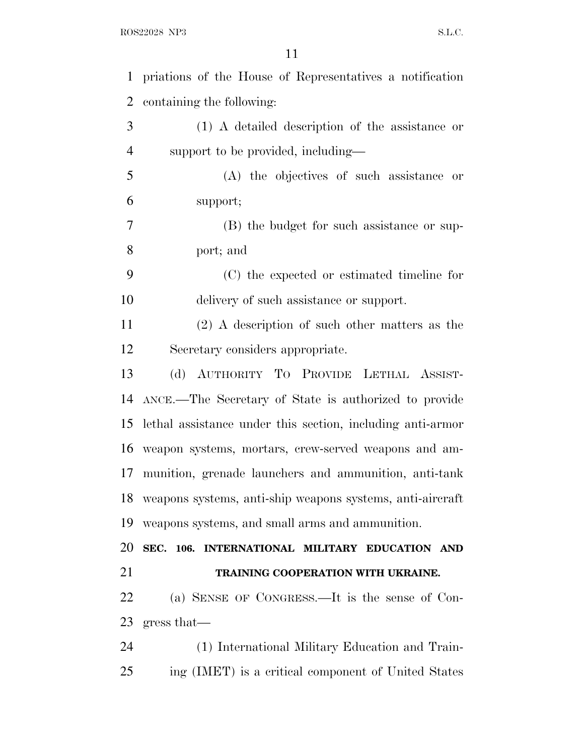| $\mathbf{1}$   | priations of the House of Representatives a notification   |
|----------------|------------------------------------------------------------|
| $\overline{2}$ | containing the following:                                  |
| 3              | (1) A detailed description of the assistance or            |
| 4              | support to be provided, including—                         |
| 5              | (A) the objectives of such assistance or                   |
| 6              | support;                                                   |
| $\overline{7}$ | (B) the budget for such assistance or sup-                 |
| 8              | port; and                                                  |
| 9              | (C) the expected or estimated timeline for                 |
| 10             | delivery of such assistance or support.                    |
| 11             | $(2)$ A description of such other matters as the           |
| 12             | Secretary considers appropriate.                           |
| 13             | (d) AUTHORITY TO PROVIDE LETHAL ASSIST-                    |
| 14             | ANCE.—The Secretary of State is authorized to provide      |
| 15             | lethal assistance under this section, including anti-armor |
|                | 16 weapon systems, mortars, crew-served weapons and am-    |
| 17             | munition, grenade launchers and ammunition, anti-tank      |
| 18             | weapons systems, anti-ship weapons systems, anti-aircraft  |
| 19             | weapons systems, and small arms and ammunition.            |
| 20             | SEC. 106. INTERNATIONAL MILITARY EDUCATION AND             |
|                |                                                            |
| 21             | TRAINING COOPERATION WITH UKRAINE.                         |
| 22             | (a) SENSE OF CONGRESS.—It is the sense of Con-             |
| 23             | gress that—                                                |
| 24             | (1) International Military Education and Train-            |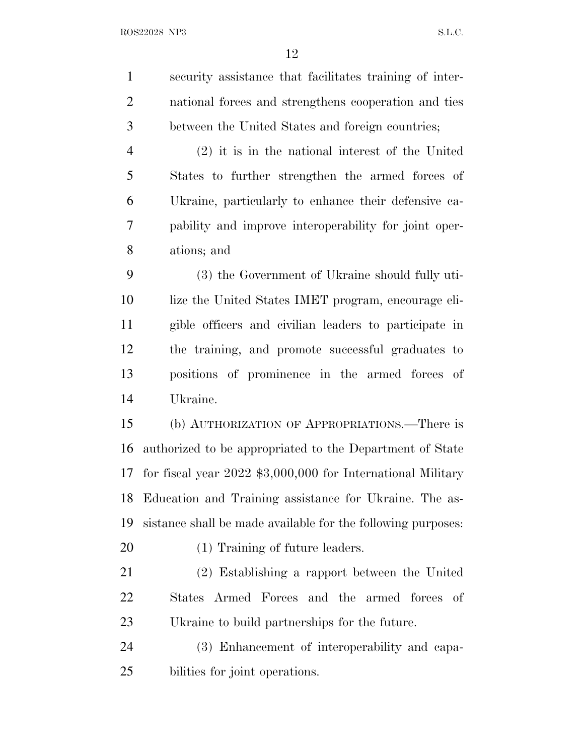security assistance that facilitates training of inter- national forces and strengthens cooperation and ties between the United States and foreign countries; (2) it is in the national interest of the United States to further strengthen the armed forces of Ukraine, particularly to enhance their defensive ca- pability and improve interoperability for joint oper- ations; and (3) the Government of Ukraine should fully uti- lize the United States IMET program, encourage eli- gible officers and civilian leaders to participate in the training, and promote successful graduates to positions of prominence in the armed forces of Ukraine. (b) AUTHORIZATION OF APPROPRIATIONS.—There is authorized to be appropriated to the Department of State for fiscal year 2022 \$3,000,000 for International Military Education and Training assistance for Ukraine. The as- sistance shall be made available for the following purposes: (1) Training of future leaders. (2) Establishing a rapport between the United States Armed Forces and the armed forces of Ukraine to build partnerships for the future. (3) Enhancement of interoperability and capa-bilities for joint operations.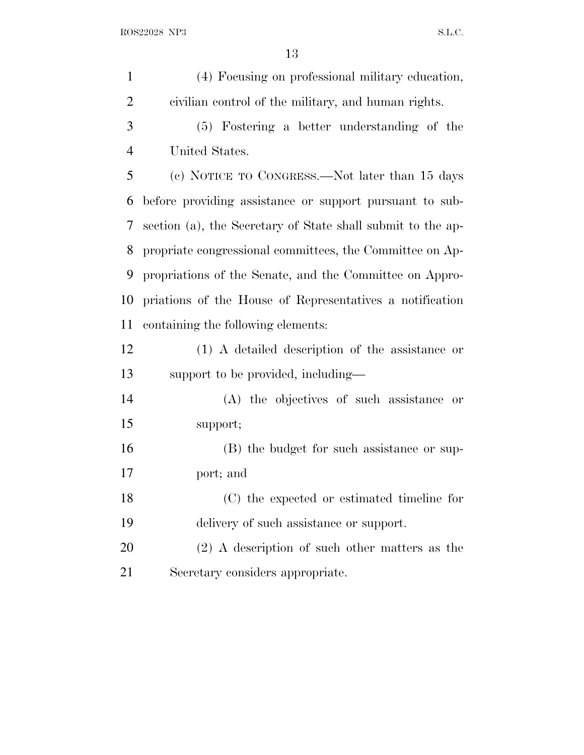| $\mathbf{1}$   | (4) Focusing on professional military education,            |
|----------------|-------------------------------------------------------------|
| $\overline{2}$ | civilian control of the military, and human rights.         |
| 3              | (5) Fostering a better understanding of the                 |
| $\overline{4}$ | United States.                                              |
| 5              | (c) NOTICE TO CONGRESS.—Not later than 15 days              |
| 6              | before providing assistance or support pursuant to sub-     |
| 7              | section (a), the Secretary of State shall submit to the ap- |
| 8              | propriate congressional committees, the Committee on Ap-    |
| 9              | propriations of the Senate, and the Committee on Appro-     |
| 10             | priations of the House of Representatives a notification    |
| 11             | containing the following elements:                          |
| 12             | (1) A detailed description of the assistance or             |
| 13             | support to be provided, including—                          |
| 14             | (A) the objectives of such assistance or                    |
| 15             | support;                                                    |
| 16             | (B) the budget for such assistance or sup-                  |
| 17             | port; and                                                   |
| 18             | (C) the expected or estimated timeline for                  |
| 19             | delivery of such assistance or support.                     |
| 20             | $(2)$ A description of such other matters as the            |
| 21             | Secretary considers appropriate.                            |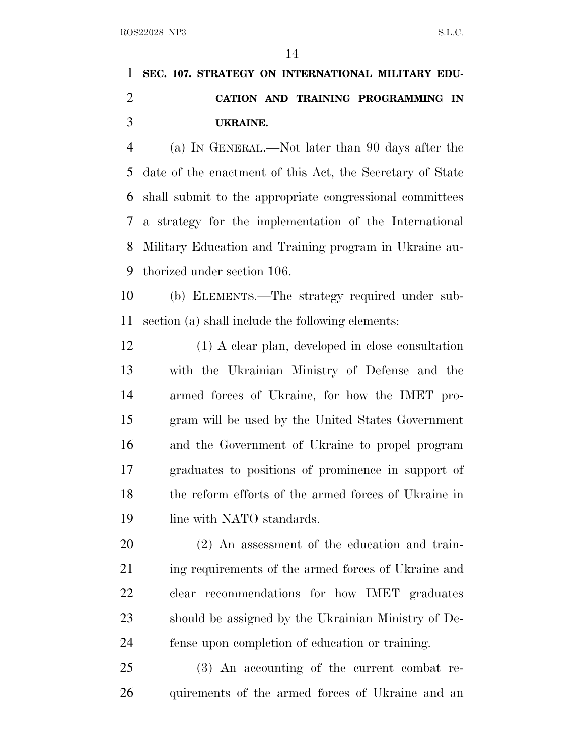## **SEC. 107. STRATEGY ON INTERNATIONAL MILITARY EDU- CATION AND TRAINING PROGRAMMING IN UKRAINE.**

 (a) I<sup>N</sup> GENERAL.—Not later than 90 days after the date of the enactment of this Act, the Secretary of State shall submit to the appropriate congressional committees a strategy for the implementation of the International Military Education and Training program in Ukraine au-thorized under section 106.

 (b) ELEMENTS.—The strategy required under sub-section (a) shall include the following elements:

 (1) A clear plan, developed in close consultation with the Ukrainian Ministry of Defense and the armed forces of Ukraine, for how the IMET pro- gram will be used by the United States Government and the Government of Ukraine to propel program graduates to positions of prominence in support of the reform efforts of the armed forces of Ukraine in 19 line with NATO standards.

 (2) An assessment of the education and train-21 ing requirements of the armed forces of Ukraine and clear recommendations for how IMET graduates should be assigned by the Ukrainian Ministry of De-fense upon completion of education or training.

 (3) An accounting of the current combat re-quirements of the armed forces of Ukraine and an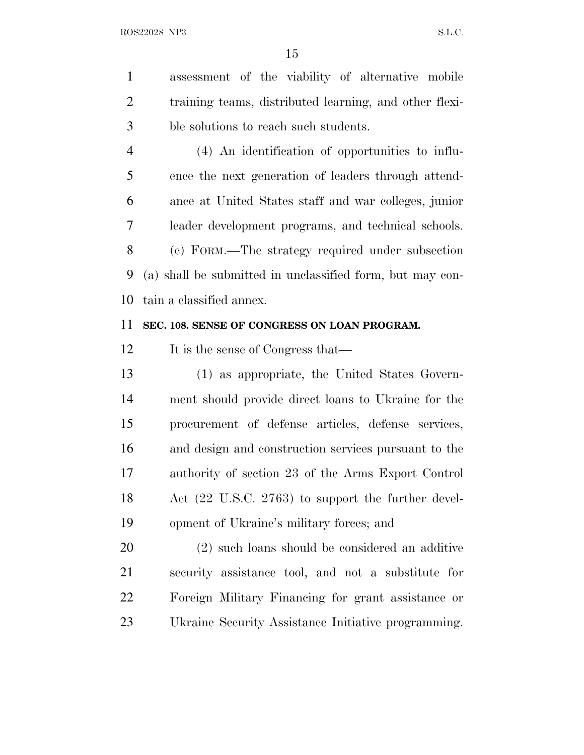assessment of the viability of alternative mobile training teams, distributed learning, and other flexi-ble solutions to reach such students.

 (4) An identification of opportunities to influ- ence the next generation of leaders through attend- ance at United States staff and war colleges, junior leader development programs, and technical schools. (c) FORM.—The strategy required under subsection (a) shall be submitted in unclassified form, but may con-tain a classified annex.

### **SEC. 108. SENSE OF CONGRESS ON LOAN PROGRAM.**

12 It is the sense of Congress that—

 (1) as appropriate, the United States Govern- ment should provide direct loans to Ukraine for the procurement of defense articles, defense services, and design and construction services pursuant to the authority of section 23 of the Arms Export Control Act (22 U.S.C. 2763) to support the further devel-opment of Ukraine's military forces; and

 (2) such loans should be considered an additive security assistance tool, and not a substitute for Foreign Military Financing for grant assistance or Ukraine Security Assistance Initiative programming.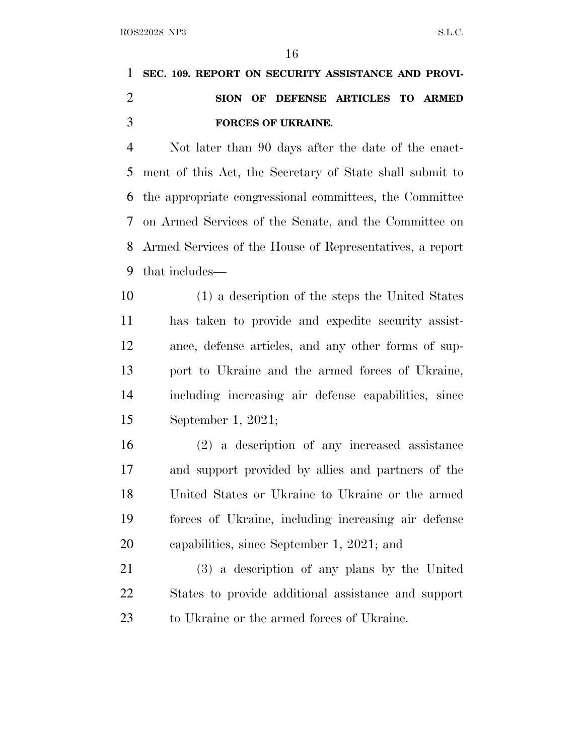# **SEC. 109. REPORT ON SECURITY ASSISTANCE AND PROVI- SION OF DEFENSE ARTICLES TO ARMED FORCES OF UKRAINE.**

 Not later than 90 days after the date of the enact- ment of this Act, the Secretary of State shall submit to the appropriate congressional committees, the Committee on Armed Services of the Senate, and the Committee on Armed Services of the House of Representatives, a report that includes—

 (1) a description of the steps the United States has taken to provide and expedite security assist- ance, defense articles, and any other forms of sup- port to Ukraine and the armed forces of Ukraine, including increasing air defense capabilities, since September 1, 2021;

 (2) a description of any increased assistance and support provided by allies and partners of the United States or Ukraine to Ukraine or the armed forces of Ukraine, including increasing air defense capabilities, since September 1, 2021; and

 (3) a description of any plans by the United States to provide additional assistance and support to Ukraine or the armed forces of Ukraine.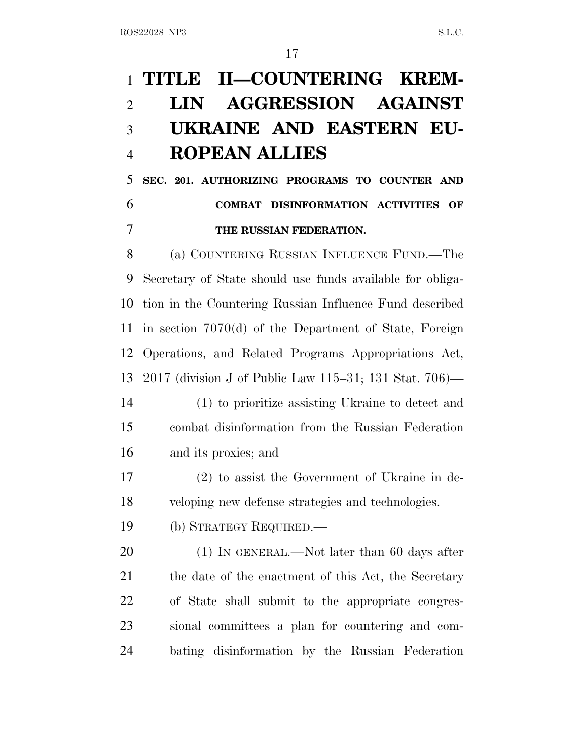# **TITLE II—COUNTERING KREM- LIN AGGRESSION AGAINST UKRAINE AND EASTERN EU-ROPEAN ALLIES**

 **SEC. 201. AUTHORIZING PROGRAMS TO COUNTER AND COMBAT DISINFORMATION ACTIVITIES OF THE RUSSIAN FEDERATION.**

 (a) COUNTERING RUSSIAN INFLUENCE FUND.—The Secretary of State should use funds available for obliga- tion in the Countering Russian Influence Fund described in section 7070(d) of the Department of State, Foreign Operations, and Related Programs Appropriations Act, 2017 (division J of Public Law 115–31; 131 Stat. 706)—

 (1) to prioritize assisting Ukraine to detect and combat disinformation from the Russian Federation and its proxies; and

 (2) to assist the Government of Ukraine in de-veloping new defense strategies and technologies.

(b) STRATEGY REQUIRED.—

20 (1) IN GENERAL.—Not later than 60 days after 21 the date of the enactment of this Act, the Secretary of State shall submit to the appropriate congres- sional committees a plan for countering and com-bating disinformation by the Russian Federation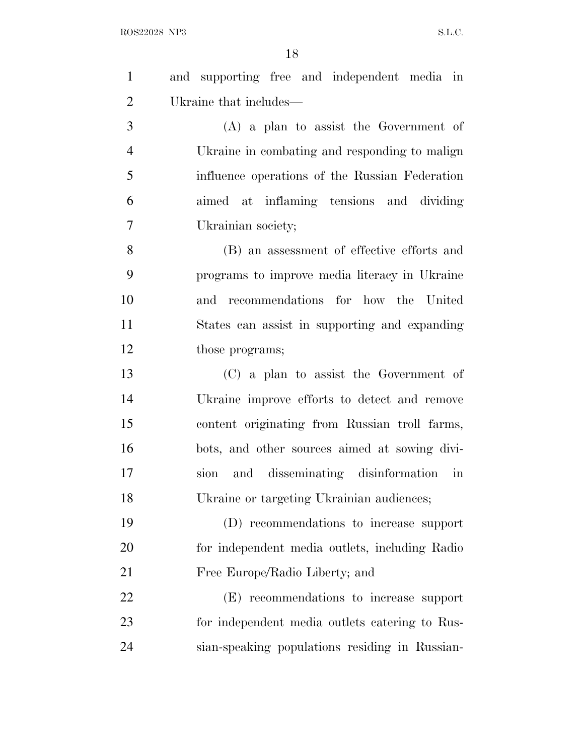| $\mathbf{1}$   | and supporting free and independent media in   |
|----------------|------------------------------------------------|
| $\overline{2}$ | Ukraine that includes—                         |
| 3              | $(A)$ a plan to assist the Government of       |
| $\overline{4}$ | Ukraine in combating and responding to malign  |
| 5              | influence operations of the Russian Federation |
| 6              | aimed at inflaming tensions and dividing       |
| 7              | Ukrainian society;                             |
| 8              | (B) an assessment of effective efforts and     |
| 9              | programs to improve media literacy in Ukraine  |
| 10             | and recommendations for how the United         |
| 11             | States can assist in supporting and expanding  |
| 12             | those programs;                                |
| 13             | (C) a plan to assist the Government of         |
| 14             | Ukraine improve efforts to detect and remove   |
| 15             | content originating from Russian troll farms,  |
| 16             | bots, and other sources aimed at sowing divi-  |
| 17             | and disseminating disinformation in<br>sion    |
| 18             | Ukraine or targeting Ukrainian audiences;      |
| 19             | (D) recommendations to increase support        |
| 20             | for independent media outlets, including Radio |
| 21             | Free Europe/Radio Liberty; and                 |
| 22             | (E) recommendations to increase support        |
| 23             | for independent media outlets catering to Rus- |
| 24             | sian-speaking populations residing in Russian- |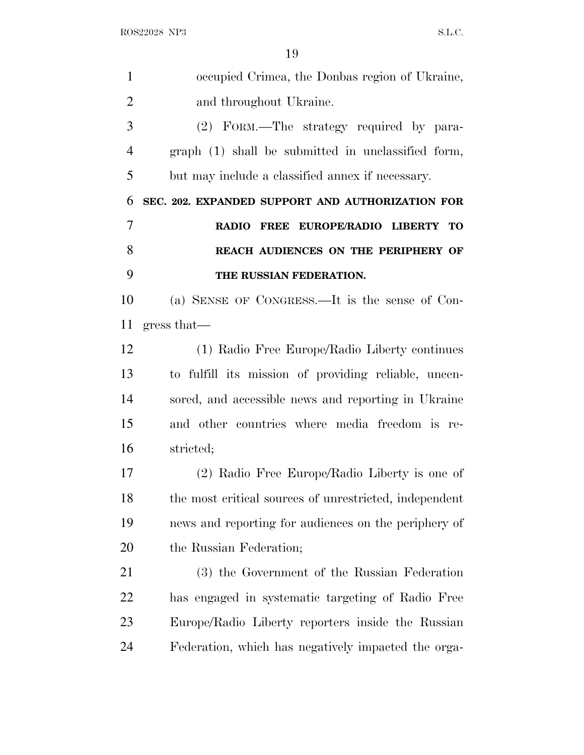| $\mathbf{1}$   | occupied Crimea, the Donbas region of Ukraine,                   |
|----------------|------------------------------------------------------------------|
| $\overline{2}$ | and throughout Ukraine.                                          |
| 3              | (2) FORM.—The strategy required by para-                         |
| 4              | graph (1) shall be submitted in unclassified form,               |
| 5              | but may include a classified annex if necessary.                 |
| 6              | SEC. 202. EXPANDED SUPPORT AND AUTHORIZATION FOR                 |
| 7              | EUROPE/RADIO LIBERTY<br><b>RADIO</b><br><b>FREE</b><br><b>ТО</b> |
| 8              | REACH AUDIENCES ON THE PERIPHERY OF                              |
| 9              | THE RUSSIAN FEDERATION.                                          |
| 10             | (a) SENSE OF CONGRESS.—It is the sense of Con-                   |
| 11             | gress that—                                                      |
| 12             | (1) Radio Free Europe/Radio Liberty continues                    |
| 13             | to fulfill its mission of providing reliable, uncen-             |
| 14             | sored, and accessible news and reporting in Ukraine              |
| 15             | and other countries where media freedom is re-                   |
| 16             | stricted;                                                        |
| 17             | (2) Radio Free Europe/Radio Liberty is one of                    |
| 18             | the most critical sources of unrestricted, independent           |
| 19             | news and reporting for audiences on the periphery of             |
| 20             | the Russian Federation;                                          |
| 21             | (3) the Government of the Russian Federation                     |
| 22             | has engaged in systematic targeting of Radio Free                |
| 23             | Europe/Radio Liberty reporters inside the Russian                |
| 24             | Federation, which has negatively impacted the orga-              |
|                |                                                                  |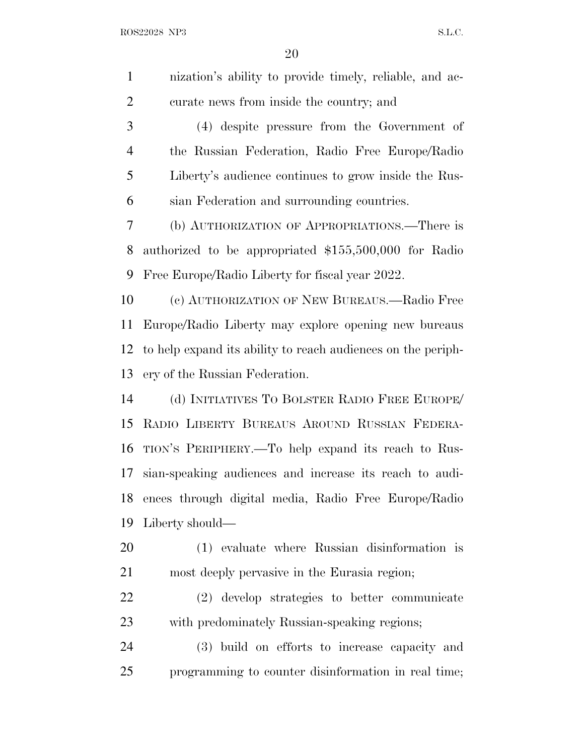| $\mathbf{1}$   | nization's ability to provide timely, reliable, and ac-      |
|----------------|--------------------------------------------------------------|
| $\overline{2}$ | curate news from inside the country; and                     |
| 3              | (4) despite pressure from the Government of                  |
| $\overline{4}$ | the Russian Federation, Radio Free Europe/Radio              |
| 5              | Liberty's audience continues to grow inside the Rus-         |
| 6              | sian Federation and surrounding countries.                   |
| 7              | (b) AUTHORIZATION OF APPROPRIATIONS.—There is                |
| 8              | authorized to be appropriated \$155,500,000 for Radio        |
| 9              | Free Europe/Radio Liberty for fiscal year 2022.              |
| 10             | (c) AUTHORIZATION OF NEW BUREAUS.—Radio Free                 |
| 11             | Europe/Radio Liberty may explore opening new bureaus         |
| 12             | to help expand its ability to reach audiences on the periph- |
| 13             | ery of the Russian Federation.                               |
| 14             | (d) INITIATIVES TO BOLSTER RADIO FREE EUROPE/                |
| 15             | RADIO LIBERTY BUREAUS AROUND RUSSIAN FEDERA-                 |
| 16             | TION'S PERIPHERY.—To help expand its reach to Rus-           |
| 17             | sian-speaking audiences and increase its reach to audi-      |
| 18             | ences through digital media, Radio Free Europe/Radio         |
| 19             | Liberty should—                                              |
| 20             | (1) evaluate where Russian disinformation is                 |
| 21             | most deeply pervasive in the Eurasia region;                 |
| 22             | (2) develop strategies to better communicate                 |
| 23             | with predominately Russian-speaking regions;                 |
| 24             | (3) build on efforts to increase capacity and                |
| 25             | programming to counter disinformation in real time;          |
|                |                                                              |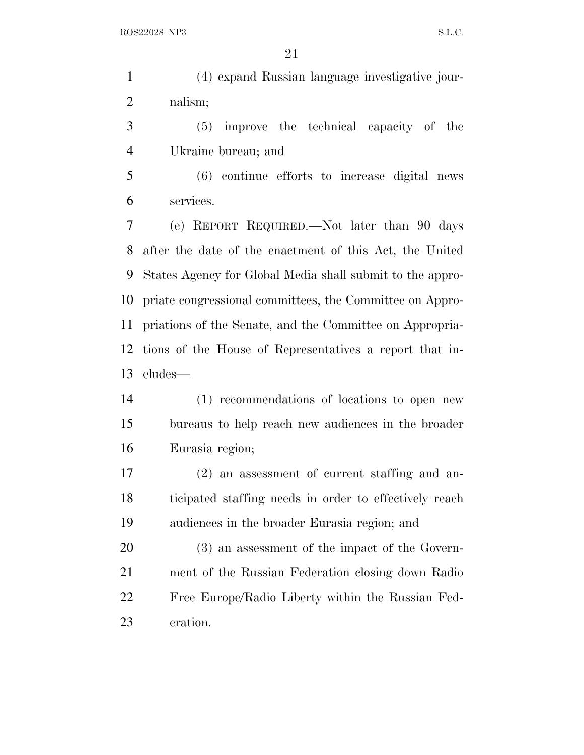(4) expand Russian language investigative jour-nalism;

 (5) improve the technical capacity of the Ukraine bureau; and

 (6) continue efforts to increase digital news services.

 (e) REPORT REQUIRED.—Not later than 90 days after the date of the enactment of this Act, the United States Agency for Global Media shall submit to the appro- priate congressional committees, the Committee on Appro- priations of the Senate, and the Committee on Appropria- tions of the House of Representatives a report that in-cludes—

 (1) recommendations of locations to open new bureaus to help reach new audiences in the broader Eurasia region;

 (2) an assessment of current staffing and an- ticipated staffing needs in order to effectively reach audiences in the broader Eurasia region; and

 (3) an assessment of the impact of the Govern- ment of the Russian Federation closing down Radio Free Europe/Radio Liberty within the Russian Fed-eration.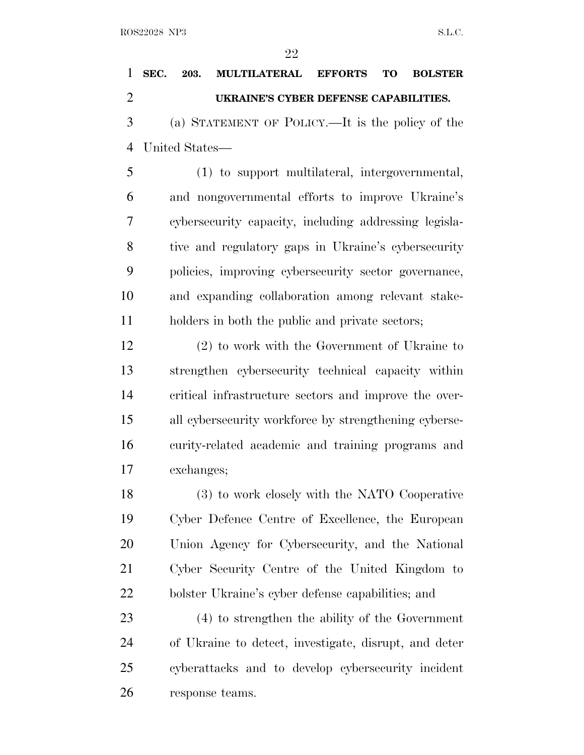# **SEC. 203. MULTILATERAL EFFORTS TO BOLSTER UKRAINE'S CYBER DEFENSE CAPABILITIES.** (a) STATEMENT OF POLICY.—It is the policy of the

United States—

 (1) to support multilateral, intergovernmental, and nongovernmental efforts to improve Ukraine's cybersecurity capacity, including addressing legisla- tive and regulatory gaps in Ukraine's cybersecurity policies, improving cybersecurity sector governance, and expanding collaboration among relevant stake-holders in both the public and private sectors;

 (2) to work with the Government of Ukraine to strengthen cybersecurity technical capacity within critical infrastructure sectors and improve the over- all cybersecurity workforce by strengthening cyberse- curity-related academic and training programs and exchanges;

 (3) to work closely with the NATO Cooperative Cyber Defence Centre of Excellence, the European Union Agency for Cybersecurity, and the National Cyber Security Centre of the United Kingdom to bolster Ukraine's cyber defense capabilities; and

 (4) to strengthen the ability of the Government of Ukraine to detect, investigate, disrupt, and deter cyberattacks and to develop cybersecurity incident response teams.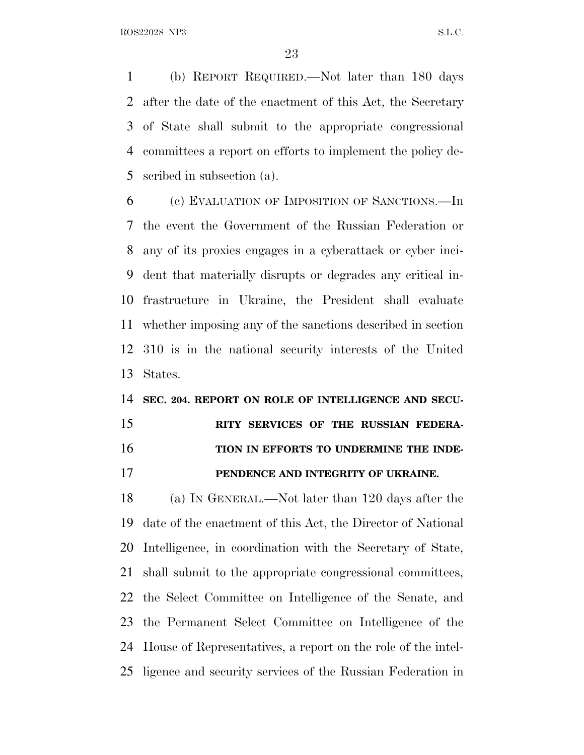(b) REPORT REQUIRED.—Not later than 180 days after the date of the enactment of this Act, the Secretary of State shall submit to the appropriate congressional committees a report on efforts to implement the policy de-scribed in subsection (a).

 (c) EVALUATION OF IMPOSITION OF SANCTIONS.—In the event the Government of the Russian Federation or any of its proxies engages in a cyberattack or cyber inci- dent that materially disrupts or degrades any critical in- frastructure in Ukraine, the President shall evaluate whether imposing any of the sanctions described in section 310 is in the national security interests of the United States.

#### **SEC. 204. REPORT ON ROLE OF INTELLIGENCE AND SECU-**

## **RITY SERVICES OF THE RUSSIAN FEDERA-TION IN EFFORTS TO UNDERMINE THE INDE-**

**PENDENCE AND INTEGRITY OF UKRAINE.**

 (a) I<sup>N</sup> GENERAL.—Not later than 120 days after the date of the enactment of this Act, the Director of National Intelligence, in coordination with the Secretary of State, shall submit to the appropriate congressional committees, the Select Committee on Intelligence of the Senate, and the Permanent Select Committee on Intelligence of the House of Representatives, a report on the role of the intel-ligence and security services of the Russian Federation in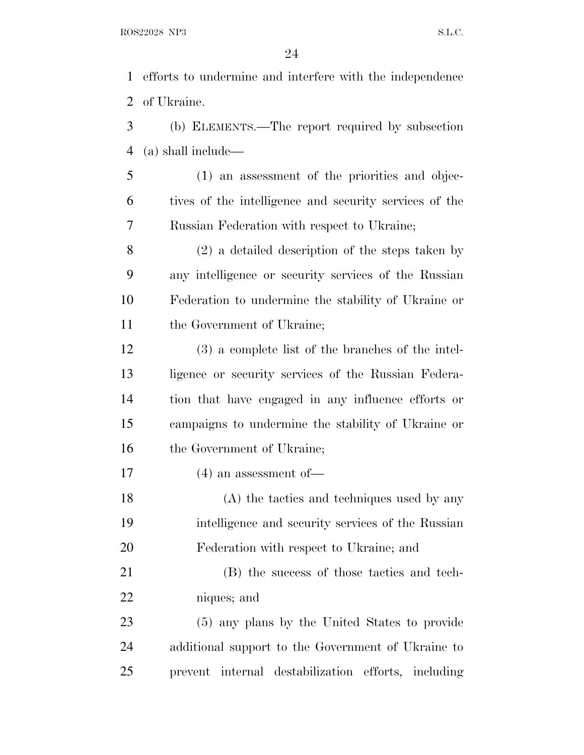efforts to undermine and interfere with the independence of Ukraine.

 (b) ELEMENTS.—The report required by subsection (a) shall include—

 (1) an assessment of the priorities and objec- tives of the intelligence and security services of the Russian Federation with respect to Ukraine;

 (2) a detailed description of the steps taken by any intelligence or security services of the Russian Federation to undermine the stability of Ukraine or 11 the Government of Ukraine;

 (3) a complete list of the branches of the intel- ligence or security services of the Russian Federa- tion that have engaged in any influence efforts or campaigns to undermine the stability of Ukraine or 16 the Government of Ukraine;

(4) an assessment of—

 (A) the tactics and techniques used by any intelligence and security services of the Russian Federation with respect to Ukraine; and

 (B) the success of those tactics and tech-niques; and

 (5) any plans by the United States to provide additional support to the Government of Ukraine to prevent internal destabilization efforts, including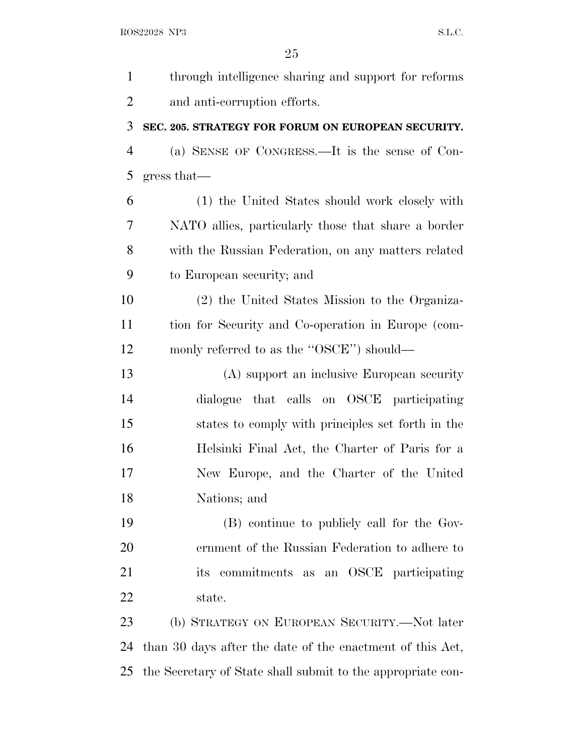| $\mathbf{1}$   | through intelligence sharing and support for reforms        |
|----------------|-------------------------------------------------------------|
| $\overline{2}$ | and anti-corruption efforts.                                |
| 3              | SEC. 205. STRATEGY FOR FORUM ON EUROPEAN SECURITY.          |
| $\overline{4}$ | (a) SENSE OF CONGRESS.—It is the sense of Con-              |
| 5              | gress that                                                  |
| 6              | (1) the United States should work closely with              |
| 7              | NATO allies, particularly those that share a border         |
| 8              | with the Russian Federation, on any matters related         |
| 9              | to European security; and                                   |
| 10             | (2) the United States Mission to the Organiza-              |
| 11             | tion for Security and Co-operation in Europe (com-          |
| 12             | monly referred to as the "OSCE") should—                    |
| 13             | (A) support an inclusive European security                  |
| 14             | dialogue that calls on OSCE participating                   |
| 15             | states to comply with principles set forth in the           |
| 16             | Helsinki Final Act, the Charter of Paris for a              |
| 17             | New Europe, and the Charter of the United                   |
| 18             | Nations; and                                                |
| 19             | (B) continue to publicly call for the Gov-                  |
| 20             | ernment of the Russian Federation to adhere to              |
| 21             | commitments as an OSCE participating<br>its                 |
| 22             | state.                                                      |
| 23             | (b) STRATEGY ON EUROPEAN SECURITY.—Not later                |
| 24             | than 30 days after the date of the enactment of this Act,   |
| 25             | the Secretary of State shall submit to the appropriate con- |
|                |                                                             |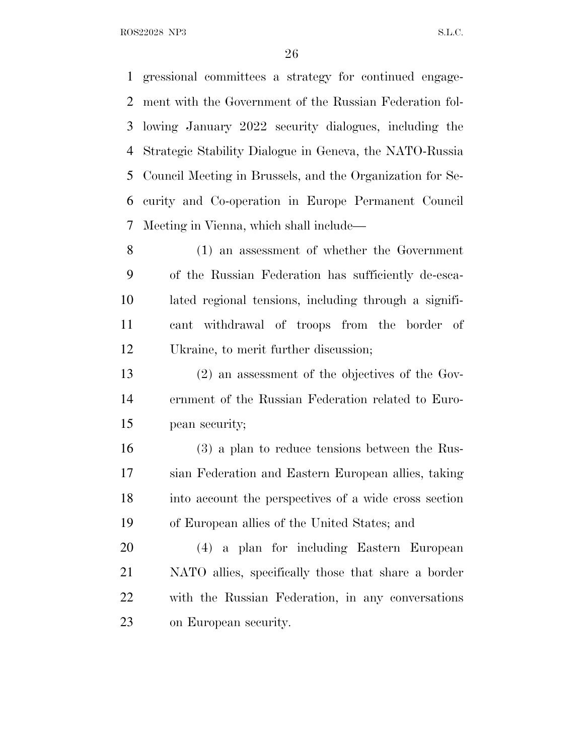gressional committees a strategy for continued engage- ment with the Government of the Russian Federation fol- lowing January 2022 security dialogues, including the Strategic Stability Dialogue in Geneva, the NATO-Russia Council Meeting in Brussels, and the Organization for Se- curity and Co-operation in Europe Permanent Council Meeting in Vienna, which shall include—

 (1) an assessment of whether the Government of the Russian Federation has sufficiently de-esca- lated regional tensions, including through a signifi- cant withdrawal of troops from the border of Ukraine, to merit further discussion;

 (2) an assessment of the objectives of the Gov- ernment of the Russian Federation related to Euro-pean security;

 (3) a plan to reduce tensions between the Rus- sian Federation and Eastern European allies, taking into account the perspectives of a wide cross section of European allies of the United States; and

 (4) a plan for including Eastern European NATO allies, specifically those that share a border with the Russian Federation, in any conversations on European security.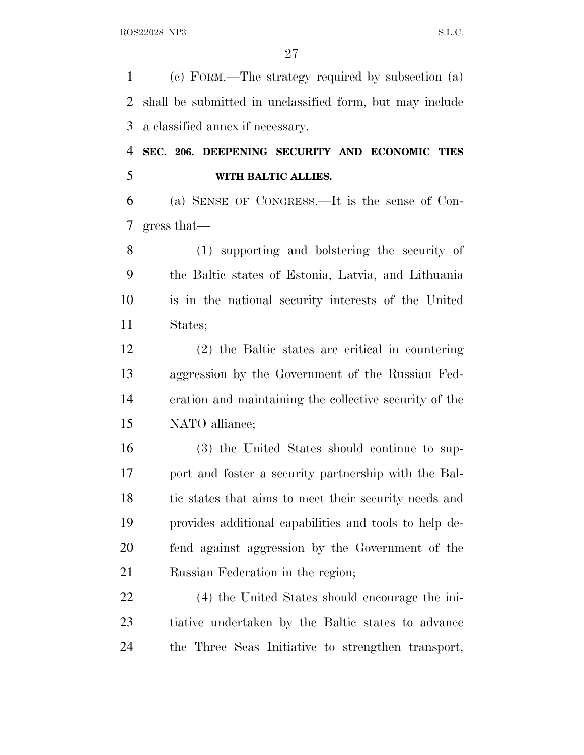(c) FORM.—The strategy required by subsection (a) shall be submitted in unclassified form, but may include a classified annex if necessary.

 **SEC. 206. DEEPENING SECURITY AND ECONOMIC TIES WITH BALTIC ALLIES.**

 (a) SENSE OF CONGRESS.—It is the sense of Con-gress that—

 (1) supporting and bolstering the security of the Baltic states of Estonia, Latvia, and Lithuania is in the national security interests of the United States;

 (2) the Baltic states are critical in countering aggression by the Government of the Russian Fed- eration and maintaining the collective security of the NATO alliance;

 (3) the United States should continue to sup- port and foster a security partnership with the Bal-18 tic states that aims to meet their security needs and provides additional capabilities and tools to help de- fend against aggression by the Government of the Russian Federation in the region;

 (4) the United States should encourage the ini- tiative undertaken by the Baltic states to advance the Three Seas Initiative to strengthen transport,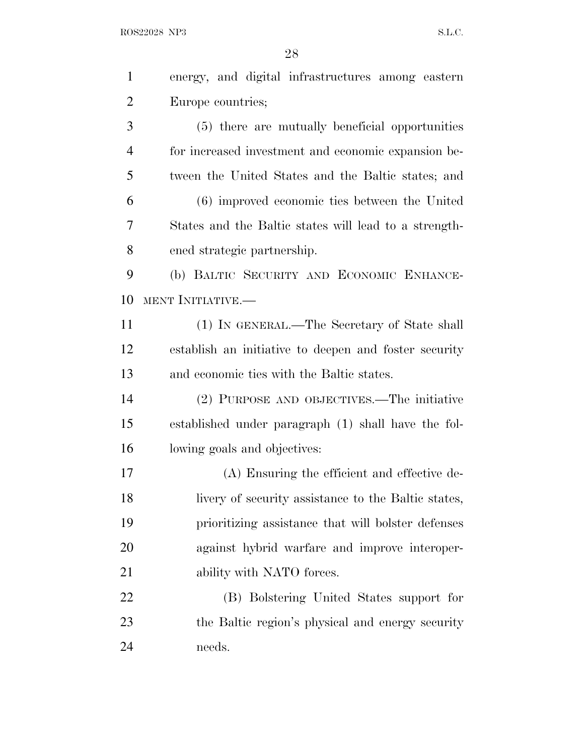| $\mathbf{1}$   | energy, and digital infrastructures among eastern     |
|----------------|-------------------------------------------------------|
| $\overline{2}$ | Europe countries;                                     |
| 3              | (5) there are mutually beneficial opportunities       |
| $\overline{4}$ | for increased investment and economic expansion be-   |
| 5              | tween the United States and the Baltic states; and    |
| 6              | (6) improved economic ties between the United         |
| 7              | States and the Baltic states will lead to a strength- |
| 8              | ened strategic partnership.                           |
| 9              | (b) BALTIC SECURITY AND ECONOMIC ENHANCE-             |
| 10             | MENT INITIATIVE.—                                     |
| 11             | (1) IN GENERAL.—The Secretary of State shall          |
| 12             | establish an initiative to deepen and foster security |
| 13             | and economic ties with the Baltic states.             |
| 14             | (2) PURPOSE AND OBJECTIVES.—The initiative            |
| 15             | established under paragraph (1) shall have the fol-   |
| 16             | lowing goals and objectives:                          |
| 17             | (A) Ensuring the efficient and effective de-          |
| 18             | livery of security assistance to the Baltic states,   |
| 19             | prioritizing assistance that will bolster defenses    |
| 20             | against hybrid warfare and improve interoper-         |
| 21             | ability with NATO forces.                             |
| 22             | (B) Bolstering United States support for              |
| 23             | the Baltic region's physical and energy security      |
| 24             | needs.                                                |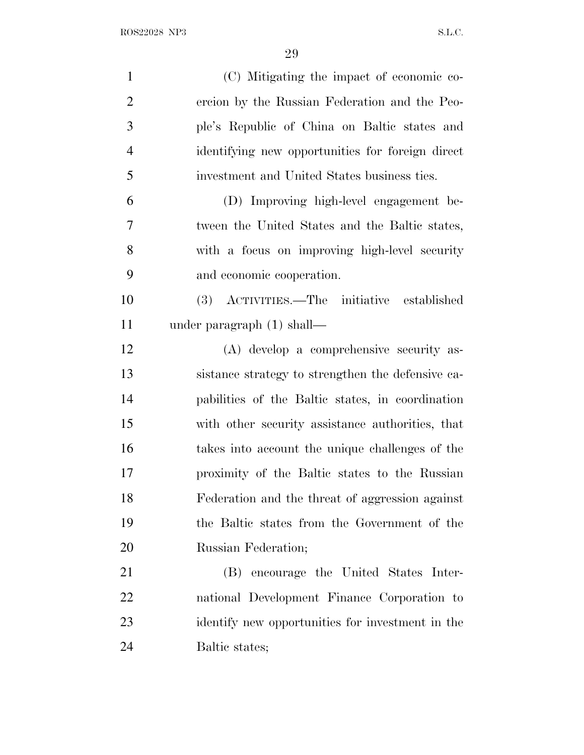| $\mathbf{1}$   | (C) Mitigating the impact of economic co-         |
|----------------|---------------------------------------------------|
| $\overline{2}$ | ercion by the Russian Federation and the Peo-     |
| 3              | ple's Republic of China on Baltic states and      |
| $\overline{4}$ | identifying new opportunities for foreign direct  |
| 5              | investment and United States business ties.       |
| 6              | (D) Improving high-level engagement be-           |
| $\overline{7}$ | tween the United States and the Baltic states,    |
| 8              | with a focus on improving high-level security     |
| 9              | and economic cooperation.                         |
| 10             | (3) ACTIVITIES.—The initiative established        |
| 11             | under paragraph $(1)$ shall—                      |
| 12             | (A) develop a comprehensive security as-          |
| 13             | sistance strategy to strengthen the defensive ca- |
| 14             | pabilities of the Baltic states, in coordination  |
| 15             | with other security assistance authorities, that  |
| 16             | takes into account the unique challenges of the   |
| 17             | proximity of the Baltic states to the Russian     |
| 18             | Federation and the threat of aggression against   |
| 19             | the Baltic states from the Government of the      |
| 20             | Russian Federation;                               |
| 21             | encourage the United States Inter-<br>(B)         |
| 22             | national Development Finance Corporation to       |
| 23             | identify new opportunities for investment in the  |
| 24             | Baltic states;                                    |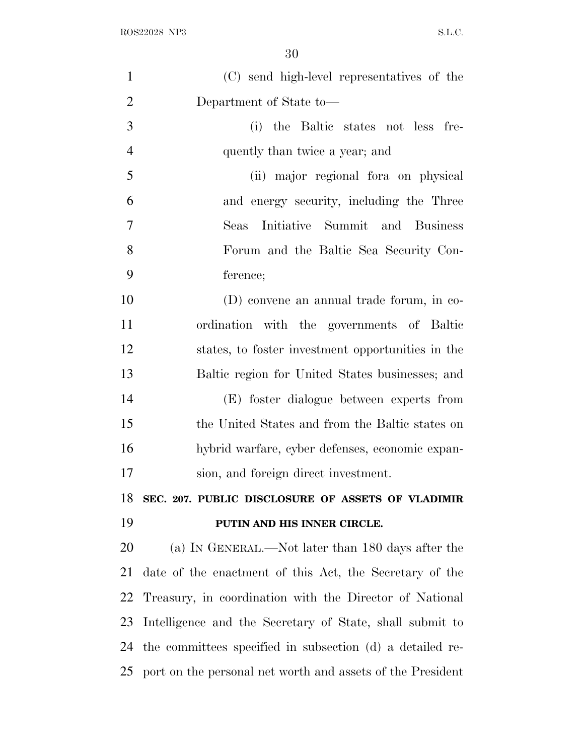| $\mathbf{1}$   | (C) send high-level representatives of the                 |
|----------------|------------------------------------------------------------|
| $\overline{2}$ | Department of State to-                                    |
| 3              | (i) the Baltic states not less fre-                        |
| $\overline{4}$ | quently than twice a year; and                             |
| 5              | (ii) major regional for aon physical                       |
| 6              | and energy security, including the Three                   |
| 7              | Initiative Summit and Business<br>Seas                     |
| 8              | Forum and the Baltic Sea Security Con-                     |
| 9              | ference;                                                   |
| 10             | (D) convene an annual trade forum, in co-                  |
| 11             | ordination with the governments of Baltic                  |
| 12             | states, to foster investment opportunities in the          |
| 13             | Baltic region for United States businesses; and            |
| 14             | (E) foster dialogue between experts from                   |
| 15             | the United States and from the Baltic states on            |
| 16             | hybrid warfare, cyber defenses, economic expan-            |
| 17             | sion, and foreign direct investment.                       |
| 18             | SEC. 207. PUBLIC DISCLOSURE OF ASSETS OF VLADIMIR          |
| 19             | PUTIN AND HIS INNER CIRCLE.                                |
| 20             | (a) IN GENERAL.—Not later than 180 days after the          |
| 21             | date of the enactment of this Act, the Secretary of the    |
| 22             | Treasury, in coordination with the Director of National    |
| 23             | Intelligence and the Secretary of State, shall submit to   |
| 24             | the committees specified in subsection (d) a detailed re-  |
| 25             | port on the personal net worth and assets of the President |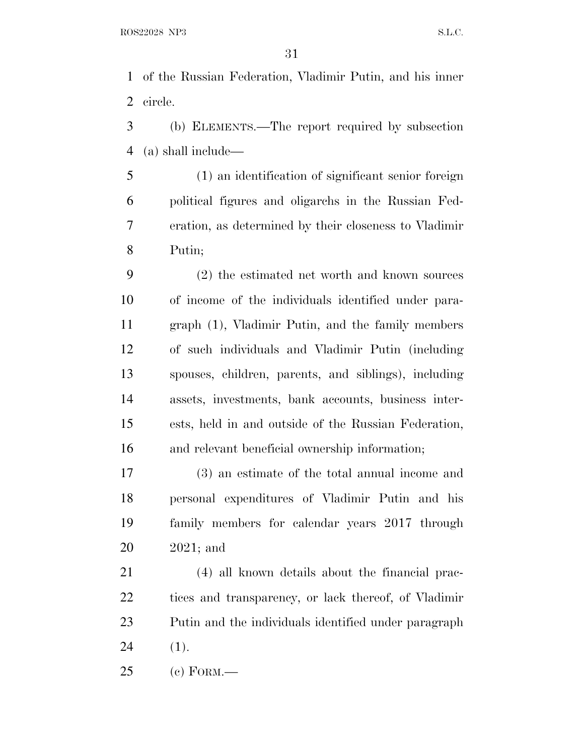of the Russian Federation, Vladimir Putin, and his inner circle.

 (b) ELEMENTS.—The report required by subsection (a) shall include—

 (1) an identification of significant senior foreign political figures and oligarchs in the Russian Fed- eration, as determined by their closeness to Vladimir Putin;

 (2) the estimated net worth and known sources of income of the individuals identified under para- graph (1), Vladimir Putin, and the family members of such individuals and Vladimir Putin (including spouses, children, parents, and siblings), including assets, investments, bank accounts, business inter- ests, held in and outside of the Russian Federation, and relevant beneficial ownership information;

 (3) an estimate of the total annual income and personal expenditures of Vladimir Putin and his family members for calendar years 2017 through 2021; and

 (4) all known details about the financial prac- tices and transparency, or lack thereof, of Vladimir Putin and the individuals identified under paragraph (1).

(c) FORM.—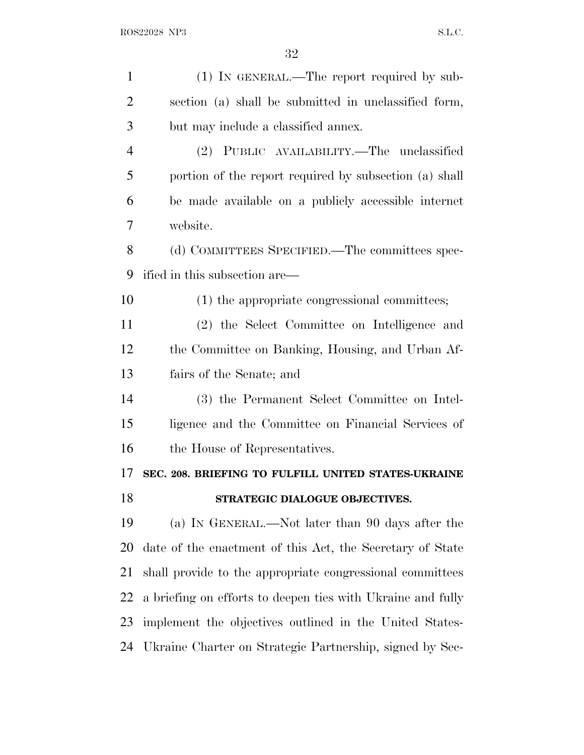| $\mathbf{1}$   | (1) IN GENERAL.—The report required by sub-                 |
|----------------|-------------------------------------------------------------|
| $\overline{2}$ | section (a) shall be submitted in unclassified form,        |
| 3              | but may include a classified annex.                         |
| $\overline{4}$ | (2) PUBLIC AVAILABILITY.—The unclassified                   |
| 5              | portion of the report required by subsection (a) shall      |
| 6              | be made available on a publicly accessible internet         |
| 7              | website.                                                    |
| 8              | (d) COMMITTEES SPECIFIED.—The committees spec-              |
| 9              | ified in this subsection are—                               |
| 10             | (1) the appropriate congressional committees;               |
| 11             | (2) the Select Committee on Intelligence and                |
| 12             | the Committee on Banking, Housing, and Urban Af-            |
| 13             | fairs of the Senate; and                                    |
| 14             | (3) the Permanent Select Committee on Intel-                |
| 15             | ligence and the Committee on Financial Services of          |
| 16             | the House of Representatives.                               |
| 17             | SEC. 208. BRIEFING TO FULFILL UNITED STATES-UKRAINE         |
| 18             | STRATEGIC DIALOGUE OBJECTIVES.                              |
| 19             | (a) IN GENERAL.—Not later than 90 days after the            |
| 20             | date of the enactment of this Act, the Secretary of State   |
| 21             |                                                             |
|                | shall provide to the appropriate congressional committees   |
| 22             | a briefing on efforts to deepen ties with Ukraine and fully |
| 23             | implement the objectives outlined in the United States-     |
| 24             | Ukraine Charter on Strategic Partnership, signed by Sec-    |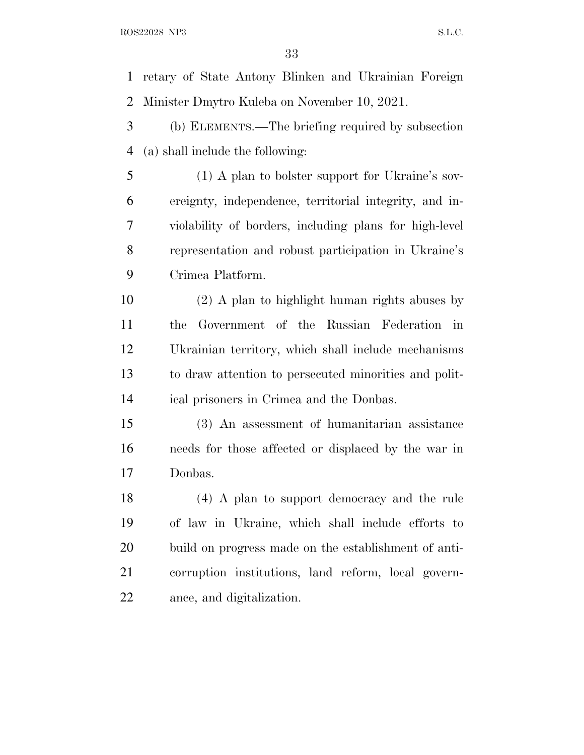retary of State Antony Blinken and Ukrainian Foreign Minister Dmytro Kuleba on November 10, 2021.

 (b) ELEMENTS.—The briefing required by subsection (a) shall include the following:

 (1) A plan to bolster support for Ukraine's sov- ereignty, independence, territorial integrity, and in- violability of borders, including plans for high-level representation and robust participation in Ukraine's Crimea Platform.

 (2) A plan to highlight human rights abuses by the Government of the Russian Federation in Ukrainian territory, which shall include mechanisms to draw attention to persecuted minorities and polit-ical prisoners in Crimea and the Donbas.

 (3) An assessment of humanitarian assistance needs for those affected or displaced by the war in Donbas.

 (4) A plan to support democracy and the rule of law in Ukraine, which shall include efforts to build on progress made on the establishment of anti- corruption institutions, land reform, local govern-ance, and digitalization.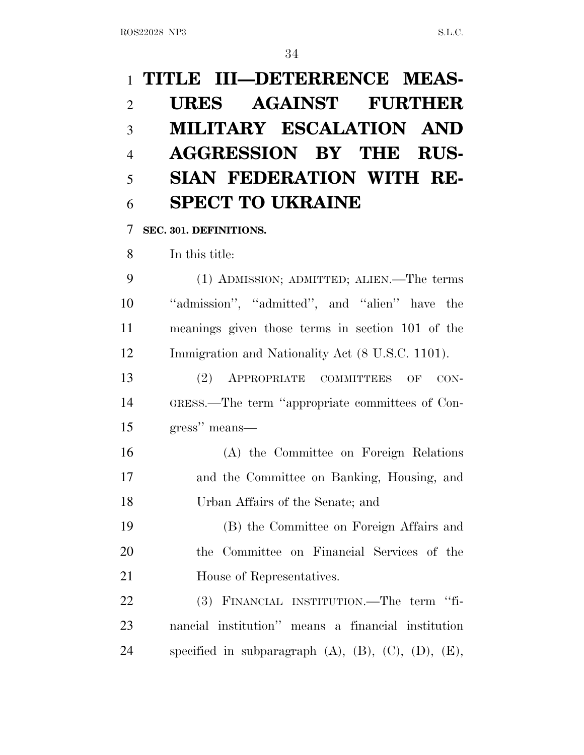# **TITLE III—DETERRENCE MEAS- URES AGAINST FURTHER MILITARY ESCALATION AND AGGRESSION BY THE RUS- SIAN FEDERATION WITH RE-SPECT TO UKRAINE**

**SEC. 301. DEFINITIONS.**

In this title:

 (1) ADMISSION; ADMITTED; ALIEN.—The terms ''admission'', ''admitted'', and ''alien'' have the meanings given those terms in section 101 of the Immigration and Nationality Act (8 U.S.C. 1101).

 (2) APPROPRIATE COMMITTEES OF CON- GRESS.—The term ''appropriate committees of Con-gress'' means—

 (A) the Committee on Foreign Relations and the Committee on Banking, Housing, and Urban Affairs of the Senate; and

 (B) the Committee on Foreign Affairs and the Committee on Financial Services of the House of Representatives.

 (3) FINANCIAL INSTITUTION.—The term ''fi- nancial institution'' means a financial institution specified in subparagraph (A), (B), (C), (D), (E),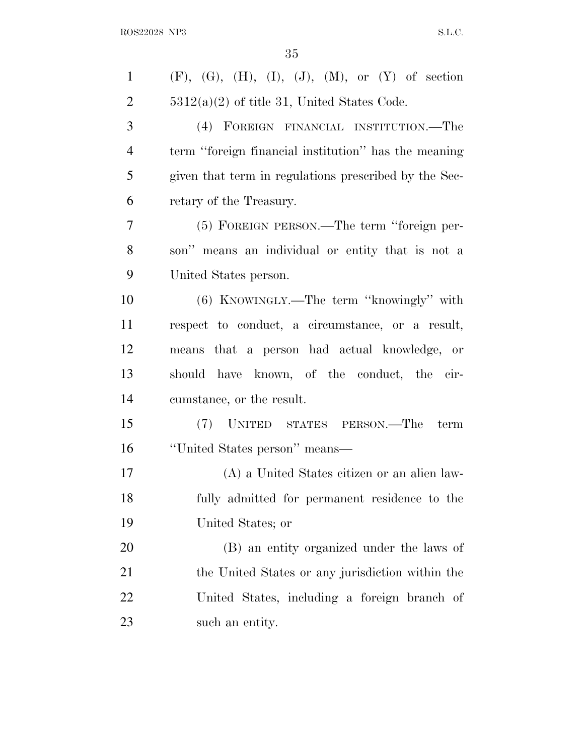| $\mathbf{1}$   | $(F)$ , $(G)$ , $(H)$ , $(I)$ , $(J)$ , $(M)$ , or $(Y)$ of section |
|----------------|---------------------------------------------------------------------|
| $\overline{2}$ | $5312(a)(2)$ of title 31, United States Code.                       |
| 3              | (4) FOREIGN FINANCIAL INSTITUTION.—The                              |
| $\overline{4}$ | term "foreign financial institution" has the meaning                |
| 5              | given that term in regulations prescribed by the Sec-               |
| 6              | retary of the Treasury.                                             |
| 7              | (5) FOREIGN PERSON.—The term "foreign per-                          |
| 8              | son" means an individual or entity that is not a                    |
| 9              | United States person.                                               |
| 10             | $(6)$ KNOWINGLY.—The term "knowingly" with                          |
| 11             | respect to conduct, a circumstance, or a result,                    |
| 12             | means that a person had actual knowledge, or                        |
| 13             | should have known, of the conduct, the cir-                         |
| 14             | cumstance, or the result.                                           |
| 15             | (7) UNITED STATES PERSON.—The term                                  |
| 16             | "United States person" means—                                       |
| 17             | (A) a United States citizen or an alien law-                        |
| 18             | fully admitted for permanent residence to the                       |
| 19             | United States; or                                                   |
| 20             | (B) an entity organized under the laws of                           |
| 21             | the United States or any jurisdiction within the                    |
| 22             | United States, including a foreign branch of                        |
| 23             | such an entity.                                                     |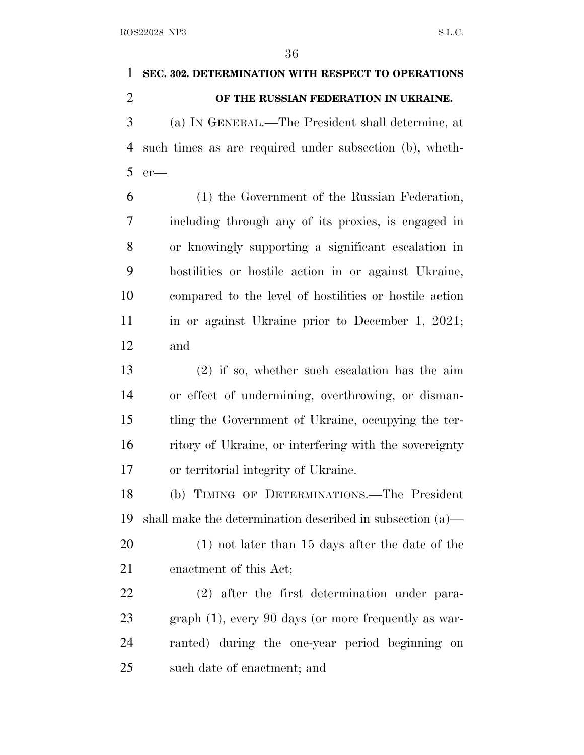| 1              | SEC. 302. DETERMINATION WITH RESPECT TO OPERATIONS           |
|----------------|--------------------------------------------------------------|
| $\overline{2}$ | OF THE RUSSIAN FEDERATION IN UKRAINE.                        |
| 3              | (a) IN GENERAL.—The President shall determine, at            |
| 4              | such times as are required under subsection (b), wheth-      |
| 5              | $er$ —                                                       |
| 6              | (1) the Government of the Russian Federation,                |
| 7              | including through any of its proxies, is engaged in          |
| 8              | or knowingly supporting a significant escalation in          |
| 9              | hostilities or hostile action in or against Ukraine,         |
| 10             | compared to the level of hostilities or hostile action       |
| 11             | in or against Ukraine prior to December 1, 2021;             |
| 12             | and                                                          |
| 13             | $(2)$ if so, whether such escalation has the aim             |
| 14             | or effect of undermining, overthrowing, or disman-           |
| 15             | tling the Government of Ukraine, occupying the ter-          |
| 16             | ritory of Ukraine, or interfering with the sovereignty       |
| 17             | or territorial integrity of Ukraine.                         |
| 18             | (b) TIMING OF DETERMINATIONS.—The President                  |
| 19             | shall make the determination described in subsection $(a)$ — |
| 20             | $(1)$ not later than 15 days after the date of the           |
| 21             | enactment of this Act;                                       |
| 22             | $(2)$ after the first determination under para-              |
| 23             | $graph(1)$ , every 90 days (or more frequently as war-       |
| 24             | ranted) during the one-year period beginning<br>on           |
| 25             | such date of enactment; and                                  |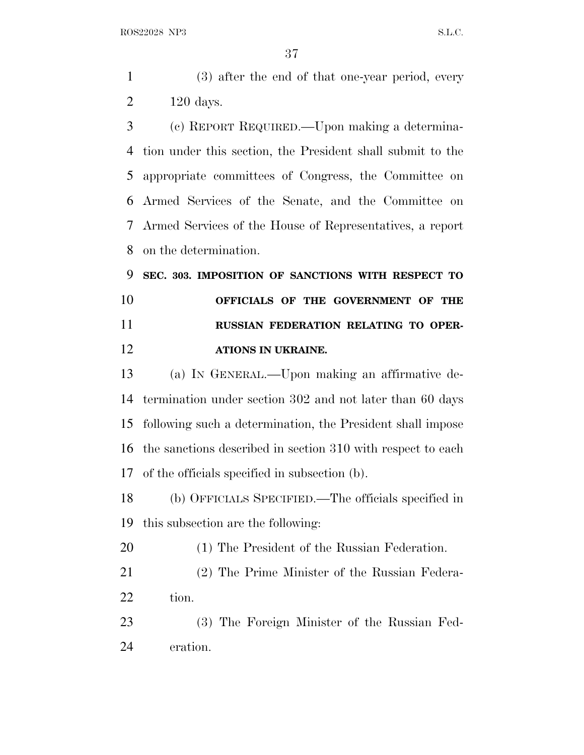(3) after the end of that one-year period, every 120 days.

 (c) REPORT REQUIRED.—Upon making a determina- tion under this section, the President shall submit to the appropriate committees of Congress, the Committee on Armed Services of the Senate, and the Committee on Armed Services of the House of Representatives, a report on the determination.

 **SEC. 303. IMPOSITION OF SANCTIONS WITH RESPECT TO OFFICIALS OF THE GOVERNMENT OF THE RUSSIAN FEDERATION RELATING TO OPER-ATIONS IN UKRAINE.**

 (a) I<sup>N</sup> GENERAL.—Upon making an affirmative de- termination under section 302 and not later than 60 days following such a determination, the President shall impose the sanctions described in section 310 with respect to each of the officials specified in subsection (b).

 (b) OFFICIALS SPECIFIED.—The officials specified in this subsection are the following:

(1) The President of the Russian Federation.

 (2) The Prime Minister of the Russian Federa-tion.

 (3) The Foreign Minister of the Russian Fed-eration.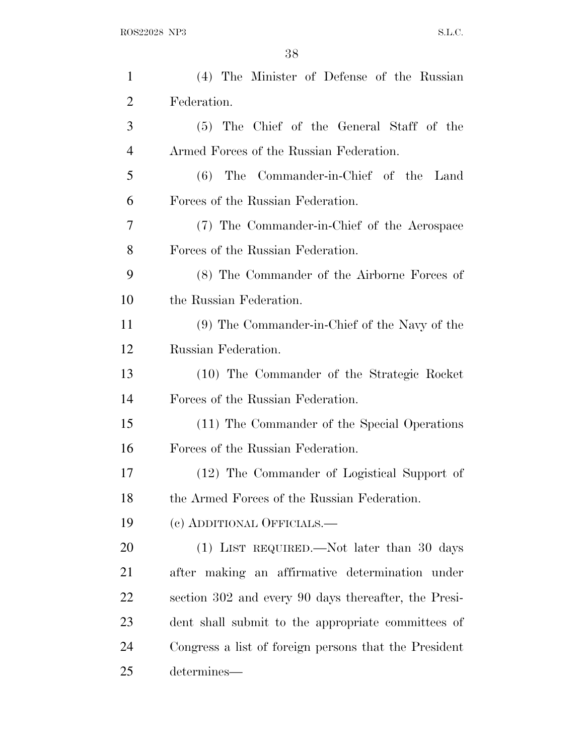| $\mathbf{1}$   | (4) The Minister of Defense of the Russian            |
|----------------|-------------------------------------------------------|
| $\overline{2}$ | Federation.                                           |
| 3              | (5) The Chief of the General Staff of the             |
| 4              | Armed Forces of the Russian Federation.               |
| 5              | (6) The Commander-in-Chief of the Land                |
| 6              | Forces of the Russian Federation.                     |
| 7              | (7) The Commander-in-Chief of the Aerospace           |
| 8              | Forces of the Russian Federation.                     |
| 9              | (8) The Commander of the Airborne Forces of           |
| 10             | the Russian Federation.                               |
| 11             | (9) The Commander-in-Chief of the Navy of the         |
| 12             | Russian Federation.                                   |
| 13             | (10) The Commander of the Strategic Rocket            |
| 14             | Forces of the Russian Federation.                     |
| 15             | (11) The Commander of the Special Operations          |
| 16             | Forces of the Russian Federation.                     |
| 17             | (12) The Commander of Logistical Support of           |
| 18             | the Armed Forces of the Russian Federation.           |
| 19             | (c) ADDITIONAL OFFICIALS.—                            |
| 20             | (1) LIST REQUIRED.—Not later than 30 days             |
| 21             | after making an affirmative determination under       |
| 22             | section 302 and every 90 days thereafter, the Presi-  |
| 23             | dent shall submit to the appropriate committees of    |
| 24             | Congress a list of foreign persons that the President |
| 25             | determines—                                           |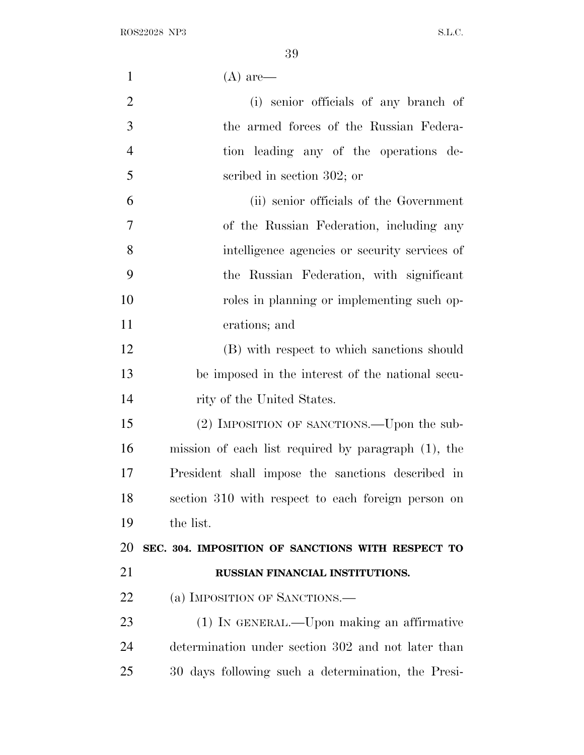| $\mathbf{1}$   | $(A)$ are—                                          |
|----------------|-----------------------------------------------------|
| $\overline{2}$ | (i) senior officials of any branch of               |
| 3              | the armed forces of the Russian Federa-             |
| $\overline{4}$ | tion leading any of the operations de-              |
| 5              | scribed in section 302; or                          |
| 6              | (ii) senior officials of the Government             |
| $\overline{7}$ | of the Russian Federation, including any            |
| 8              | intelligence agencies or security services of       |
| 9              | the Russian Federation, with significant            |
| 10             | roles in planning or implementing such op-          |
| 11             | erations; and                                       |
| 12             | (B) with respect to which sanctions should          |
| 13             | be imposed in the interest of the national secu-    |
| 14             | rity of the United States.                          |
| 15             | (2) IMPOSITION OF SANCTIONS.—Upon the sub-          |
| 16             | mission of each list required by paragraph (1), the |
| 17             | President shall impose the sanctions described in   |
| 18             | section 310 with respect to each foreign person on  |
| 19             | the list.                                           |
| 20             | SEC. 304. IMPOSITION OF SANCTIONS WITH RESPECT TO   |
| 21             | RUSSIAN FINANCIAL INSTITUTIONS.                     |
| 22             | (a) IMPOSITION OF SANCTIONS.—                       |
| 23             | (1) IN GENERAL.—Upon making an affirmative          |
| 24             | determination under section 302 and not later than  |
| 25             | 30 days following such a determination, the Presi-  |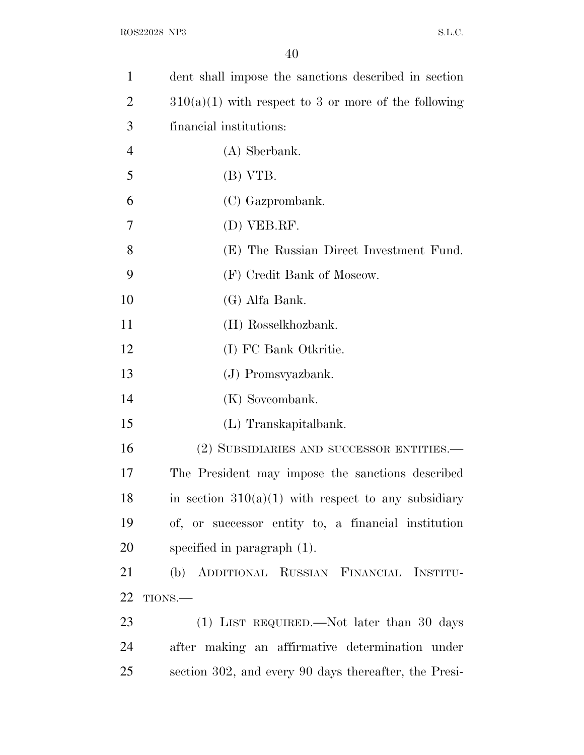| 1              | dent shall impose the sanctions described in section   |
|----------------|--------------------------------------------------------|
| $\overline{2}$ | $310(a)(1)$ with respect to 3 or more of the following |
| 3              | financial institutions:                                |
| $\overline{4}$ | (A) Sberbank.                                          |
| 5              | (B) VTB.                                               |
| 6              | (C) Gazprombank.                                       |
| 7              | (D) VEB.RF.                                            |
| 8              | (E) The Russian Direct Investment Fund.                |
| 9              | (F) Credit Bank of Moscow.                             |
| 10             | (G) Alfa Bank.                                         |
| 11             | (H) Rosselkhozbank.                                    |
| 12             | (I) FC Bank Otkritie.                                  |
| 13             | (J) Promsvyazbank.                                     |
| 14             | (K) Sovcombank.                                        |
| 15             | (L) Transkapitalbank.                                  |
| 16             | (2) SUBSIDIARIES AND SUCCESSOR ENTITIES.—              |
| 17             | The President may impose the sanctions described       |
| 18             | in section $310(a)(1)$ with respect to any subsidiary  |
| 19             | of, or successor entity to, a financial institution    |
| 20             | specified in paragraph $(1)$ .                         |
| 21             | (b) ADDITIONAL RUSSIAN FINANCIAL INSTITU-              |
| 22             | TIONS.                                                 |
| 23             | (1) LIST REQUIRED.—Not later than 30 days              |
| 24             | after making an affirmative determination under        |
| 25             | section 302, and every 90 days thereafter, the Presi-  |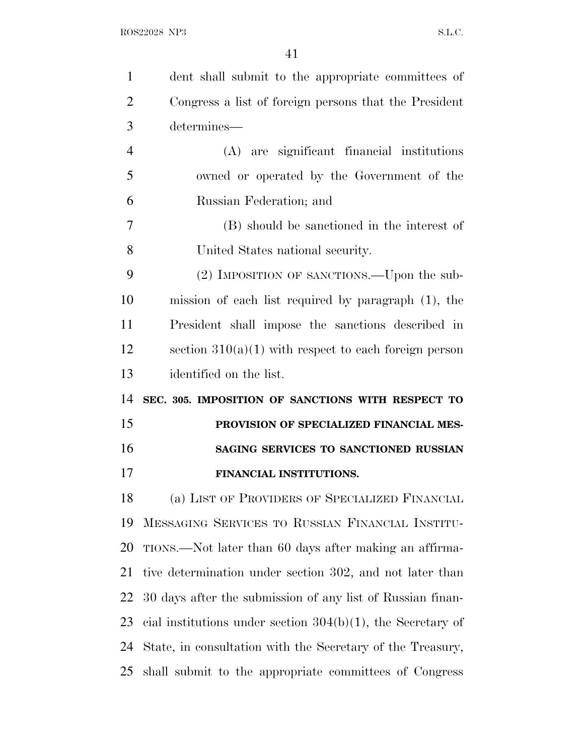| $\mathbf{1}$   | dent shall submit to the appropriate committees of             |
|----------------|----------------------------------------------------------------|
| $\overline{2}$ | Congress a list of foreign persons that the President          |
| 3              | determines—                                                    |
| $\overline{4}$ | (A) are significant financial institutions                     |
| 5              | owned or operated by the Government of the                     |
| 6              | Russian Federation; and                                        |
| 7              | (B) should be sanctioned in the interest of                    |
| 8              | United States national security.                               |
| 9              | (2) IMPOSITION OF SANCTIONS.—Upon the sub-                     |
| 10             | mission of each list required by paragraph $(1)$ , the         |
| 11             | President shall impose the sanctions described in              |
| 12             | section $310(a)(1)$ with respect to each foreign person        |
| 13             | identified on the list.                                        |
| 14             | SEC. 305. IMPOSITION OF SANCTIONS WITH RESPECT TO              |
| 15             | PROVISION OF SPECIALIZED FINANCIAL MES-                        |
| 16             | SAGING SERVICES TO SANCTIONED RUSSIAN                          |
| 17             | FINANCIAL INSTITUTIONS.                                        |
| 18             | (a) LIST OF PROVIDERS OF SPECIALIZED FINANCIAL                 |
| 19             | MESSAGING SERVICES TO RUSSIAN FINANCIAL INSTITU-               |
| 20             | TIONS.—Not later than 60 days after making an affirma-         |
| 21             | tive determination under section 302, and not later than       |
| 22             | 30 days after the submission of any list of Russian finan-     |
| 23             | cial institutions under section $304(b)(1)$ , the Secretary of |
| 24             | State, in consultation with the Secretary of the Treasury,     |
| 25             | shall submit to the appropriate committees of Congress         |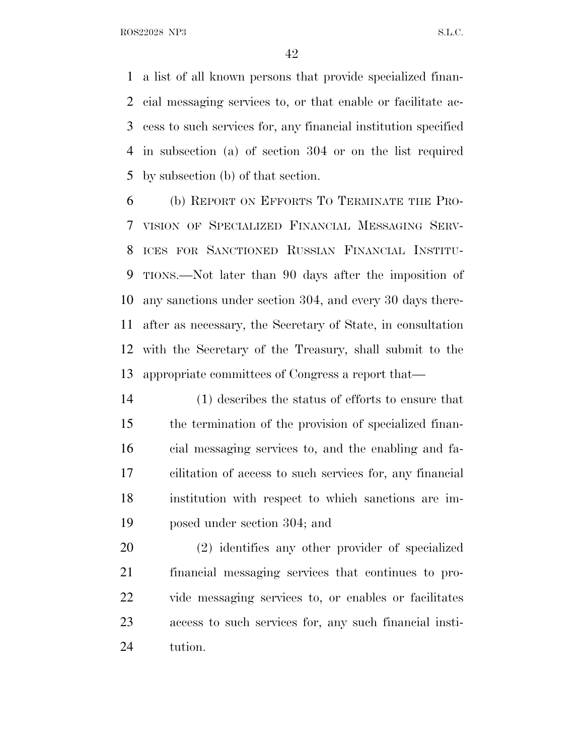a list of all known persons that provide specialized finan- cial messaging services to, or that enable or facilitate ac- cess to such services for, any financial institution specified in subsection (a) of section 304 or on the list required by subsection (b) of that section.

 (b) REPORT ON EFFORTS T<sup>O</sup> TERMINATE THE PRO- VISION OF SPECIALIZED FINANCIAL MESSAGING SERV- ICES FOR SANCTIONED RUSSIAN FINANCIAL INSTITU- TIONS.—Not later than 90 days after the imposition of any sanctions under section 304, and every 30 days there- after as necessary, the Secretary of State, in consultation with the Secretary of the Treasury, shall submit to the appropriate committees of Congress a report that—

 (1) describes the status of efforts to ensure that the termination of the provision of specialized finan- cial messaging services to, and the enabling and fa- cilitation of access to such services for, any financial institution with respect to which sanctions are im-posed under section 304; and

 (2) identifies any other provider of specialized financial messaging services that continues to pro- vide messaging services to, or enables or facilitates access to such services for, any such financial insti-tution.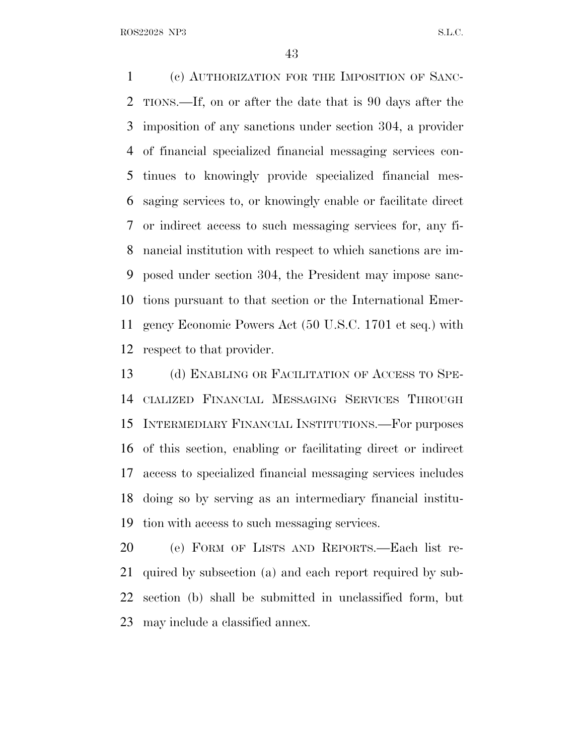(c) AUTHORIZATION FOR THE IMPOSITION OF SANC- TIONS.—If, on or after the date that is 90 days after the imposition of any sanctions under section 304, a provider of financial specialized financial messaging services con- tinues to knowingly provide specialized financial mes- saging services to, or knowingly enable or facilitate direct or indirect access to such messaging services for, any fi- nancial institution with respect to which sanctions are im- posed under section 304, the President may impose sanc- tions pursuant to that section or the International Emer- gency Economic Powers Act (50 U.S.C. 1701 et seq.) with respect to that provider.

 (d) ENABLING OR FACILITATION OF ACCESS TO SPE- CIALIZED FINANCIAL MESSAGING SERVICES THROUGH INTERMEDIARY FINANCIAL INSTITUTIONS.—For purposes of this section, enabling or facilitating direct or indirect access to specialized financial messaging services includes doing so by serving as an intermediary financial institu-tion with access to such messaging services.

 (e) FORM OF LISTS AND REPORTS.—Each list re- quired by subsection (a) and each report required by sub- section (b) shall be submitted in unclassified form, but may include a classified annex.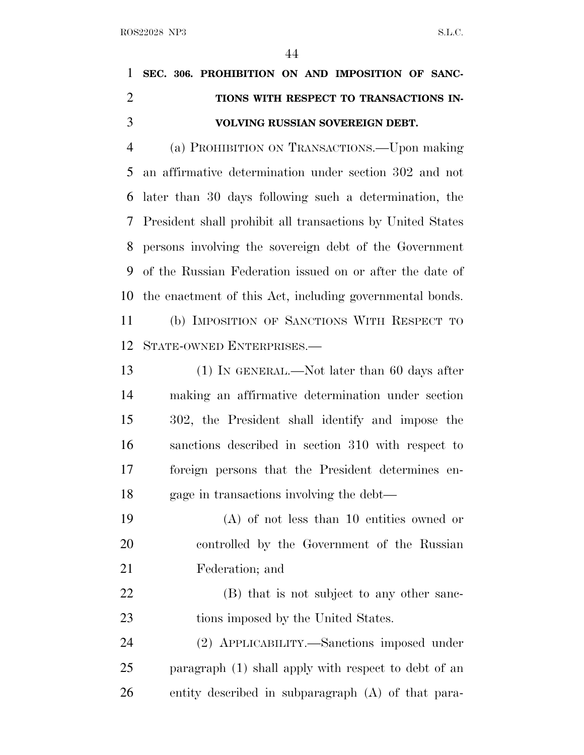|               | 1 SEC. 306. PROHIBITION ON AND IMPOSITION OF SANC- |
|---------------|----------------------------------------------------|
|               | TIONS WITH RESPECT TO TRANSACTIONS IN-             |
| $\mathcal{R}$ | VOLVING RUSSIAN SOVEREIGN DEBT.                    |

 (a) PROHIBITION ON TRANSACTIONS.—Upon making an affirmative determination under section 302 and not later than 30 days following such a determination, the President shall prohibit all transactions by United States persons involving the sovereign debt of the Government of the Russian Federation issued on or after the date of the enactment of this Act, including governmental bonds.

 (b) IMPOSITION OF SANCTIONS WITH RESPECT TO STATE-OWNED ENTERPRISES.—

13 (1) IN GENERAL.—Not later than 60 days after making an affirmative determination under section 302, the President shall identify and impose the sanctions described in section 310 with respect to foreign persons that the President determines en-gage in transactions involving the debt—

 (A) of not less than 10 entities owned or controlled by the Government of the Russian Federation; and

22 (B) that is not subject to any other sanc-23 tions imposed by the United States.

 (2) APPLICABILITY.—Sanctions imposed under paragraph (1) shall apply with respect to debt of an entity described in subparagraph (A) of that para-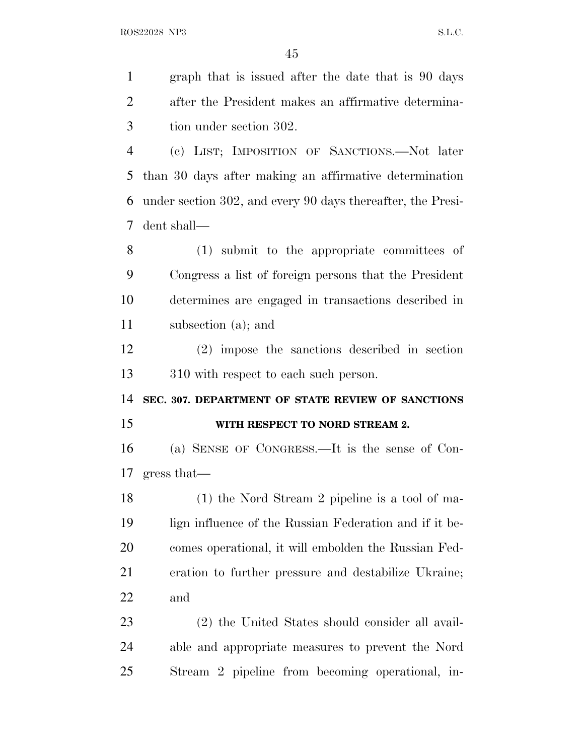graph that is issued after the date that is 90 days after the President makes an affirmative determina- tion under section 302. (c) LIST; IMPOSITION OF SANCTIONS.—Not later than 30 days after making an affirmative determination under section 302, and every 90 days thereafter, the Presi- dent shall— (1) submit to the appropriate committees of Congress a list of foreign persons that the President determines are engaged in transactions described in subsection (a); and (2) impose the sanctions described in section 310 with respect to each such person. **SEC. 307. DEPARTMENT OF STATE REVIEW OF SANCTIONS WITH RESPECT TO NORD STREAM 2.** (a) SENSE OF CONGRESS.—It is the sense of Con- gress that— (1) the Nord Stream 2 pipeline is a tool of ma- lign influence of the Russian Federation and if it be- comes operational, it will embolden the Russian Fed- eration to further pressure and destabilize Ukraine; and (2) the United States should consider all avail-able and appropriate measures to prevent the Nord

Stream 2 pipeline from becoming operational, in-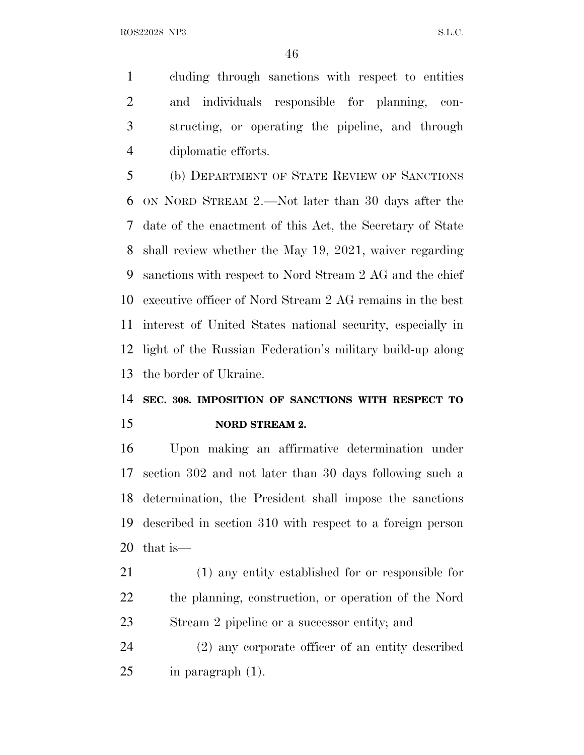cluding through sanctions with respect to entities and individuals responsible for planning, con- structing, or operating the pipeline, and through diplomatic efforts.

 (b) DEPARTMENT OF STATE REVIEW OF SANCTIONS ON NORD STREAM 2.—Not later than 30 days after the date of the enactment of this Act, the Secretary of State shall review whether the May 19, 2021, waiver regarding sanctions with respect to Nord Stream 2 AG and the chief executive officer of Nord Stream 2 AG remains in the best interest of United States national security, especially in light of the Russian Federation's military build-up along the border of Ukraine.

## **SEC. 308. IMPOSITION OF SANCTIONS WITH RESPECT TO NORD STREAM 2.**

 Upon making an affirmative determination under section 302 and not later than 30 days following such a determination, the President shall impose the sanctions described in section 310 with respect to a foreign person that is—

 (1) any entity established for or responsible for the planning, construction, or operation of the Nord Stream 2 pipeline or a successor entity; and

 (2) any corporate officer of an entity described in paragraph (1).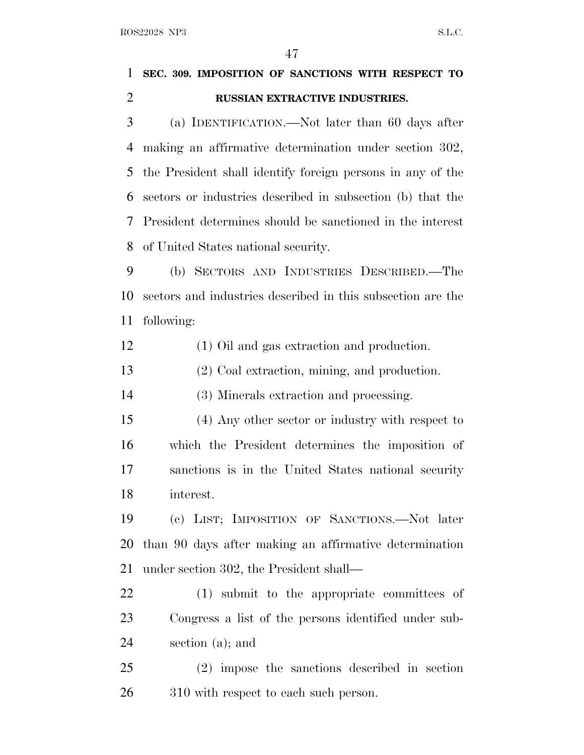|                | 47                                                          |  |
|----------------|-------------------------------------------------------------|--|
| 1              | SEC. 309. IMPOSITION OF SANCTIONS WITH RESPECT TO           |  |
| $\overline{2}$ | RUSSIAN EXTRACTIVE INDUSTRIES.                              |  |
| 3              | (a) IDENTIFICATION.—Not later than 60 days after            |  |
| 4              | making an affirmative determination under section 302,      |  |
| 5              | the President shall identify foreign persons in any of the  |  |
| 6              | sectors or industries described in subsection (b) that the  |  |
| 7              | President determines should be sanctioned in the interest   |  |
| 8              | of United States national security.                         |  |
| 9              | (b) SECTORS AND INDUSTRIES DESCRIBED.—The                   |  |
| 10             | sectors and industries described in this subsection are the |  |
| 11             | following:                                                  |  |
| 12             | (1) Oil and gas extraction and production.                  |  |
| 13             | (2) Coal extraction, mining, and production.                |  |
| 14             | (3) Minerals extraction and processing.                     |  |
| 15             | (4) Any other sector or industry with respect to            |  |
| 16             | which the President determines the imposition of            |  |
| 17             | sanctions is in the United States national security         |  |
| 18             | interest.                                                   |  |
| 19             | (c) LIST; IMPOSITION OF SANCTIONS.—Not later                |  |
| 20             | than 90 days after making an affirmative determination      |  |
| 21             | under section 302, the President shall—                     |  |
| 22             | (1) submit to the appropriate committees of                 |  |
| 23             | Congress a list of the persons identified under sub-        |  |
| 24             | section (a); and                                            |  |
| 25             | (2) impose the sanctions described in section               |  |
| 26             | 310 with respect to each such person.                       |  |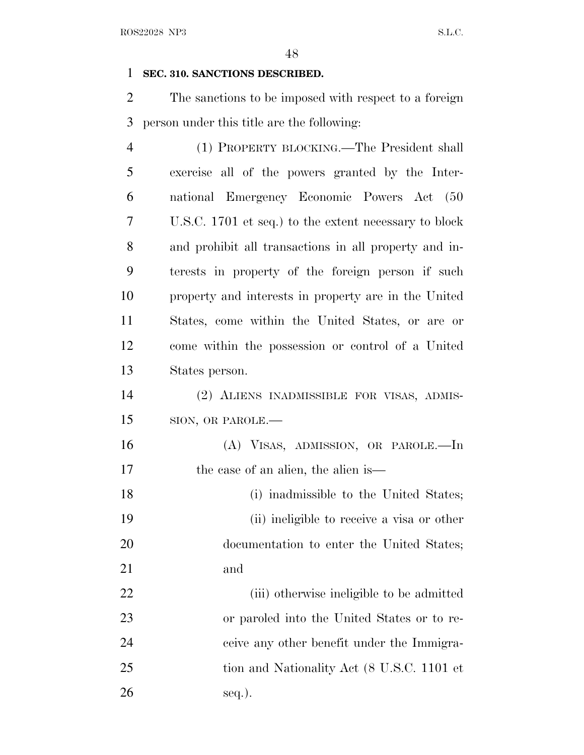## **SEC. 310. SANCTIONS DESCRIBED.**

 The sanctions to be imposed with respect to a foreign person under this title are the following:

| $\overline{4}$ | (1) PROPERTY BLOCKING.—The President shall            |
|----------------|-------------------------------------------------------|
| 5              | exercise all of the powers granted by the Inter-      |
| 6              | national Emergency Economic Powers Act (50            |
| 7              | U.S.C. 1701 et seq.) to the extent necessary to block |
| 8              | and prohibit all transactions in all property and in- |
| 9              | terests in property of the foreign person if such     |
| 10             | property and interests in property are in the United  |
| 11             | States, come within the United States, or are or      |
| 12             | come within the possession or control of a United     |
| 13             | States person.                                        |
| 14             | (2) ALIENS INADMISSIBLE FOR VISAS, ADMIS-             |
| 15             | SION, OR PAROLE.-                                     |
| 16             | (A) VISAS, ADMISSION, OR PAROLE.—In                   |
| 17             | the case of an alien, the alien is—                   |
| 18             | (i) inadmissible to the United States;                |
| 19             | (ii) ineligible to receive a visa or other            |
| 20             | documentation to enter the United States;             |
| 21             | and                                                   |
| 22             | (iii) otherwise ineligible to be admitted             |
| 23             | or paroled into the United States or to re-           |
| 24             | ceive any other benefit under the Immigra-            |
| 25             | tion and Nationality Act (8 U.S.C. 1101 et            |
| 26             | seq.).                                                |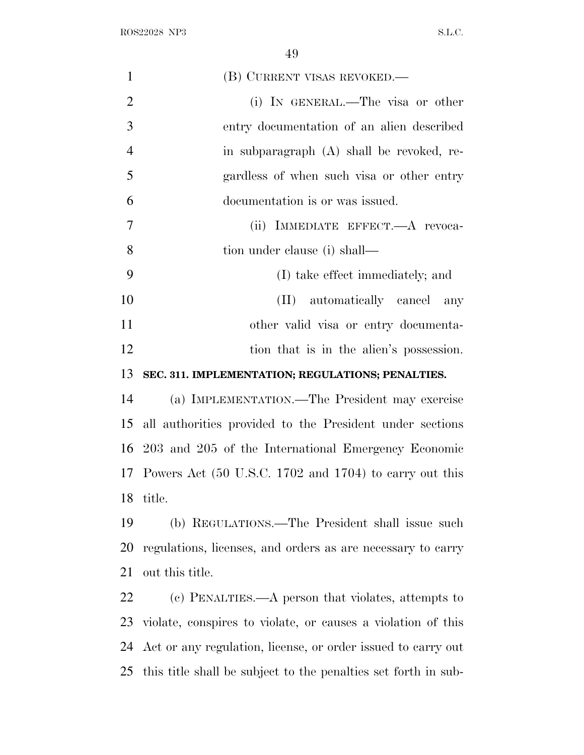| $\mathbf{1}$   | (B) CURRENT VISAS REVOKED.—                                    |
|----------------|----------------------------------------------------------------|
| $\overline{2}$ | (i) IN GENERAL.—The visa or other                              |
| 3              | entry documentation of an alien described                      |
| $\overline{4}$ | in subparagraph (A) shall be revoked, re-                      |
| 5              | gardless of when such visa or other entry                      |
| 6              | documentation is or was issued.                                |
| $\overline{7}$ | (ii) IMMEDIATE EFFECT.—A revoca-                               |
| 8              | tion under clause (i) shall—                                   |
| 9              | (I) take effect immediately; and                               |
| 10             | (II) automatically cancel any                                  |
| 11             | other valid visa or entry documenta-                           |
| 12             | tion that is in the alien's possession.                        |
| 13             | SEC. 311. IMPLEMENTATION; REGULATIONS; PENALTIES.              |
| 14             | (a) IMPLEMENTATION.—The President may exercise                 |
| 15             | all authorities provided to the President under sections       |
|                | 16 203 and 205 of the International Emergency Economic         |
|                | 17 Powers Act (50 U.S.C. 1702 and 1704) to carry out this      |
| 18             | title.                                                         |
| 19             | (b) REGULATIONS.—The President shall issue such                |
| 20             | regulations, licenses, and orders as are necessary to carry    |
| 21             | out this title.                                                |
| 22             | (c) PENALTIES.—A person that violates, attempts to             |
| 23             | violate, conspires to violate, or causes a violation of this   |
| 24             | Act or any regulation, license, or order issued to carry out   |
| 25             | this title shall be subject to the penalties set forth in sub- |
|                |                                                                |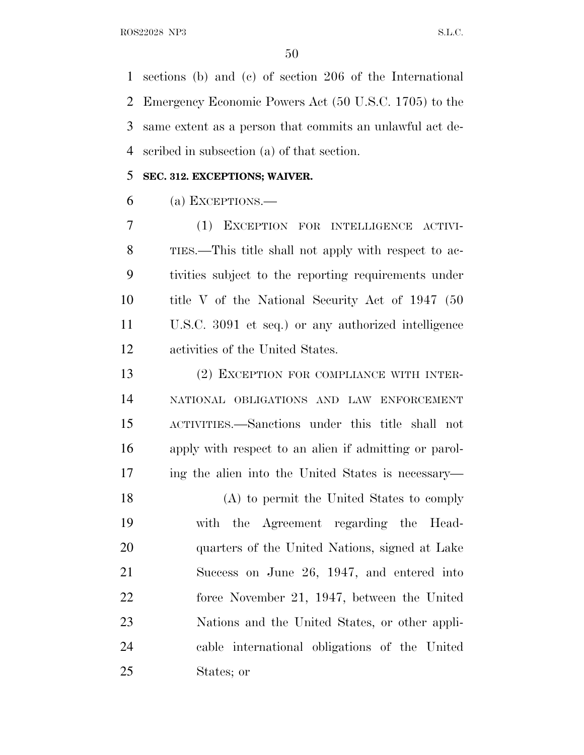sections (b) and (c) of section 206 of the International Emergency Economic Powers Act (50 U.S.C. 1705) to the same extent as a person that commits an unlawful act de-scribed in subsection (a) of that section.

### **SEC. 312. EXCEPTIONS; WAIVER.**

(a) EXCEPTIONS.—

 (1) EXCEPTION FOR INTELLIGENCE ACTIVI- TIES.—This title shall not apply with respect to ac- tivities subject to the reporting requirements under title V of the National Security Act of 1947 (50 U.S.C. 3091 et seq.) or any authorized intelligence activities of the United States.

 (2) EXCEPTION FOR COMPLIANCE WITH INTER- NATIONAL OBLIGATIONS AND LAW ENFORCEMENT ACTIVITIES.—Sanctions under this title shall not apply with respect to an alien if admitting or parol-ing the alien into the United States is necessary—

 (A) to permit the United States to comply with the Agreement regarding the Head- quarters of the United Nations, signed at Lake Success on June 26, 1947, and entered into force November 21, 1947, between the United Nations and the United States, or other appli- cable international obligations of the United States; or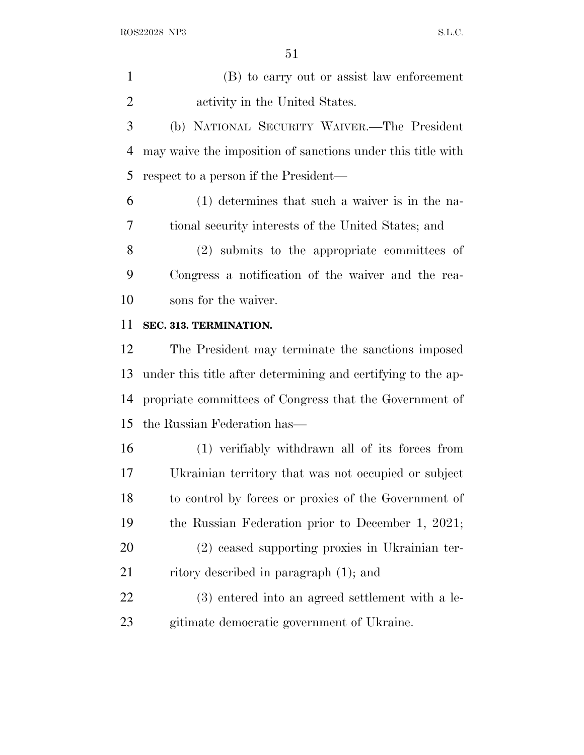(B) to carry out or assist law enforcement activity in the United States.

 (b) NATIONAL SECURITY WAIVER.—The President may waive the imposition of sanctions under this title with respect to a person if the President—

 (1) determines that such a waiver is in the na-tional security interests of the United States; and

 (2) submits to the appropriate committees of Congress a notification of the waiver and the rea-sons for the waiver.

### **SEC. 313. TERMINATION.**

 The President may terminate the sanctions imposed under this title after determining and certifying to the ap- propriate committees of Congress that the Government of the Russian Federation has—

 (1) verifiably withdrawn all of its forces from Ukrainian territory that was not occupied or subject to control by forces or proxies of the Government of the Russian Federation prior to December 1, 2021; (2) ceased supporting proxies in Ukrainian ter-

21 ritory described in paragraph (1); and

 (3) entered into an agreed settlement with a le-gitimate democratic government of Ukraine.